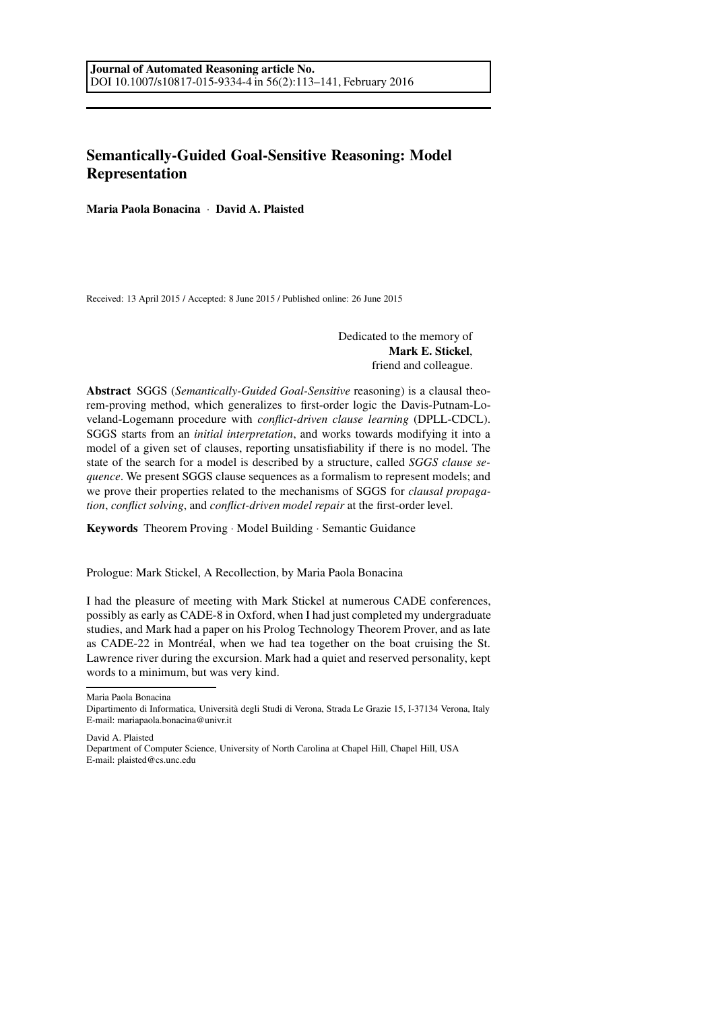# Semantically-Guided Goal-Sensitive Reasoning: Model Representation

Maria Paola Bonacina · David A. Plaisted

Received: 13 April 2015 / Accepted: 8 June 2015 / Published online: 26 June 2015

Dedicated to the memory of Mark E. Stickel, friend and colleague.

Abstract SGGS (*Semantically-Guided Goal-Sensitive* reasoning) is a clausal theorem-proving method, which generalizes to first-order logic the Davis-Putnam-Loveland-Logemann procedure with *conflict-driven clause learning* (DPLL-CDCL). SGGS starts from an *initial interpretation*, and works towards modifying it into a model of a given set of clauses, reporting unsatisfiability if there is no model. The state of the search for a model is described by a structure, called *SGGS clause sequence*. We present SGGS clause sequences as a formalism to represent models; and we prove their properties related to the mechanisms of SGGS for *clausal propagation*, *conflict solving*, and *conflict-driven model repair* at the first-order level.

Keywords Theorem Proving · Model Building · Semantic Guidance

Prologue: Mark Stickel, A Recollection, by Maria Paola Bonacina

I had the pleasure of meeting with Mark Stickel at numerous CADE conferences, possibly as early as CADE-8 in Oxford, when I had just completed my undergraduate studies, and Mark had a paper on his Prolog Technology Theorem Prover, and as late as CADE-22 in Montréal, when we had tea together on the boat cruising the St. Lawrence river during the excursion. Mark had a quiet and reserved personality, kept words to a minimum, but was very kind.

Maria Paola Bonacina

David A. Plaisted

Department of Computer Science, University of North Carolina at Chapel Hill, Chapel Hill, USA E-mail: plaisted@cs.unc.edu

Dipartimento di Informatica, Università degli Studi di Verona, Strada Le Grazie 15, I-37134 Verona, Italy E-mail: mariapaola.bonacina@univr.it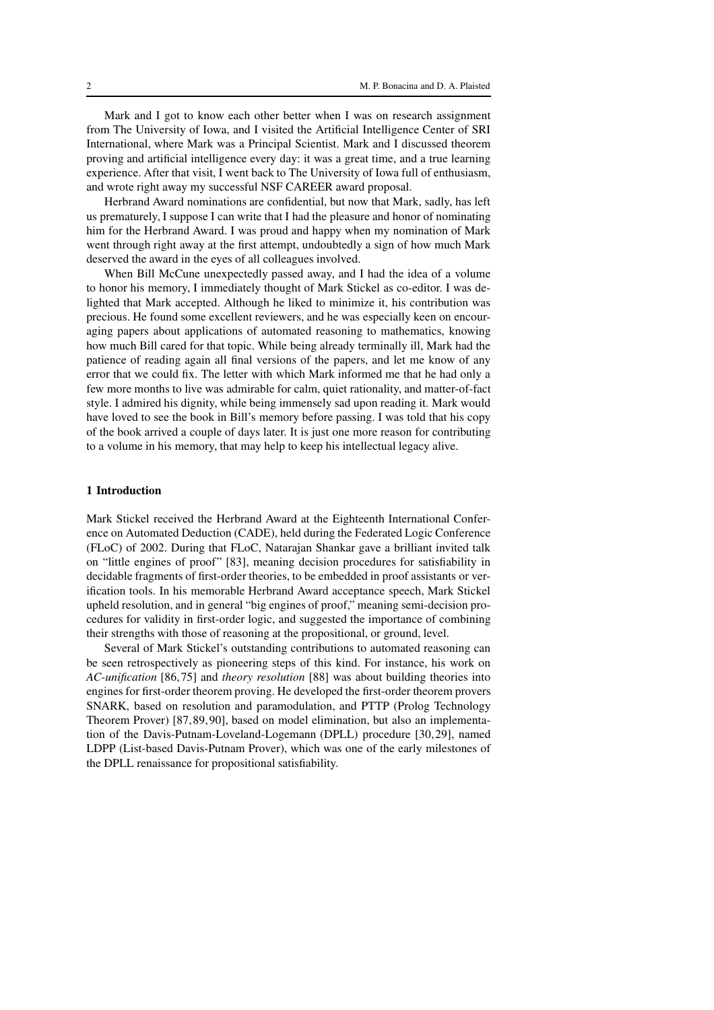Mark and I got to know each other better when I was on research assignment from The University of Iowa, and I visited the Artificial Intelligence Center of SRI International, where Mark was a Principal Scientist. Mark and I discussed theorem proving and artificial intelligence every day: it was a great time, and a true learning experience. After that visit, I went back to The University of Iowa full of enthusiasm, and wrote right away my successful NSF CAREER award proposal.

Herbrand Award nominations are confidential, but now that Mark, sadly, has left us prematurely, I suppose I can write that I had the pleasure and honor of nominating him for the Herbrand Award. I was proud and happy when my nomination of Mark went through right away at the first attempt, undoubtedly a sign of how much Mark deserved the award in the eyes of all colleagues involved.

When Bill McCune unexpectedly passed away, and I had the idea of a volume to honor his memory, I immediately thought of Mark Stickel as co-editor. I was delighted that Mark accepted. Although he liked to minimize it, his contribution was precious. He found some excellent reviewers, and he was especially keen on encouraging papers about applications of automated reasoning to mathematics, knowing how much Bill cared for that topic. While being already terminally ill, Mark had the patience of reading again all final versions of the papers, and let me know of any error that we could fix. The letter with which Mark informed me that he had only a few more months to live was admirable for calm, quiet rationality, and matter-of-fact style. I admired his dignity, while being immensely sad upon reading it. Mark would have loved to see the book in Bill's memory before passing. I was told that his copy of the book arrived a couple of days later. It is just one more reason for contributing to a volume in his memory, that may help to keep his intellectual legacy alive.

## 1 Introduction

Mark Stickel received the Herbrand Award at the Eighteenth International Conference on Automated Deduction (CADE), held during the Federated Logic Conference (FLoC) of 2002. During that FLoC, Natarajan Shankar gave a brilliant invited talk on "little engines of proof" [83], meaning decision procedures for satisfiability in decidable fragments of first-order theories, to be embedded in proof assistants or verification tools. In his memorable Herbrand Award acceptance speech, Mark Stickel upheld resolution, and in general "big engines of proof," meaning semi-decision procedures for validity in first-order logic, and suggested the importance of combining their strengths with those of reasoning at the propositional, or ground, level.

Several of Mark Stickel's outstanding contributions to automated reasoning can be seen retrospectively as pioneering steps of this kind. For instance, his work on *AC-unification* [86,75] and *theory resolution* [88] was about building theories into engines for first-order theorem proving. He developed the first-order theorem provers SNARK, based on resolution and paramodulation, and PTTP (Prolog Technology Theorem Prover) [87,89,90], based on model elimination, but also an implementation of the Davis-Putnam-Loveland-Logemann (DPLL) procedure [30,29], named LDPP (List-based Davis-Putnam Prover), which was one of the early milestones of the DPLL renaissance for propositional satisfiability.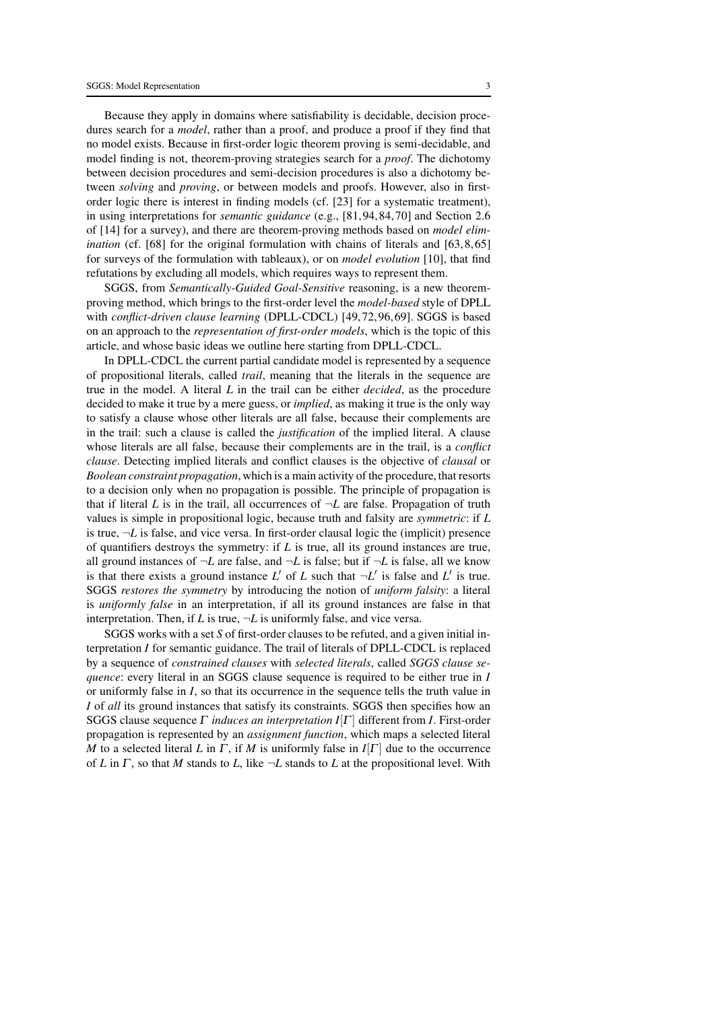Because they apply in domains where satisfiability is decidable, decision procedures search for a *model*, rather than a proof, and produce a proof if they find that no model exists. Because in first-order logic theorem proving is semi-decidable, and model finding is not, theorem-proving strategies search for a *proof*. The dichotomy between decision procedures and semi-decision procedures is also a dichotomy between *solving* and *proving*, or between models and proofs. However, also in firstorder logic there is interest in finding models (cf. [23] for a systematic treatment), in using interpretations for *semantic guidance* (e.g., [81,94,84,70] and Section 2.6 of [14] for a survey), and there are theorem-proving methods based on *model elimination* (cf. [68] for the original formulation with chains of literals and [63,8,65] for surveys of the formulation with tableaux), or on *model evolution* [10], that find refutations by excluding all models, which requires ways to represent them.

SGGS, from *Semantically-Guided Goal-Sensitive* reasoning, is a new theoremproving method, which brings to the first-order level the *model-based* style of DPLL with *conflict-driven clause learning* (DPLL-CDCL) [49,72,96,69]. SGGS is based on an approach to the *representation of first-order models*, which is the topic of this article, and whose basic ideas we outline here starting from DPLL-CDCL.

In DPLL-CDCL the current partial candidate model is represented by a sequence of propositional literals, called *trail*, meaning that the literals in the sequence are true in the model. A literal *L* in the trail can be either *decided*, as the procedure decided to make it true by a mere guess, or *implied*, as making it true is the only way to satisfy a clause whose other literals are all false, because their complements are in the trail: such a clause is called the *justification* of the implied literal. A clause whose literals are all false, because their complements are in the trail, is a *conflict clause*. Detecting implied literals and conflict clauses is the objective of *clausal* or *Boolean constraint propagation*, which is a main activity of the procedure, that resorts to a decision only when no propagation is possible. The principle of propagation is that if literal *L* is in the trail, all occurrences of  $\neg L$  are false. Propagation of truth values is simple in propositional logic, because truth and falsity are *symmetric*: if *L* is true,  $\neg L$  is false, and vice versa. In first-order clausal logic the (implicit) presence of quantifiers destroys the symmetry: if *L* is true, all its ground instances are true, all ground instances of  $\neg L$  are false, and  $\neg L$  is false; but if  $\neg L$  is false, all we know is that there exists a ground instance  $L'$  of  $L$  such that  $\neg L'$  is false and  $L'$  is true. SGGS *restores the symmetry* by introducing the notion of *uniform falsity*: a literal is *uniformly false* in an interpretation, if all its ground instances are false in that interpretation. Then, if *L* is true,  $\neg L$  is uniformly false, and vice versa.

SGGS works with a set *S* of first-order clauses to be refuted, and a given initial interpretation *I* for semantic guidance. The trail of literals of DPLL-CDCL is replaced by a sequence of *constrained clauses* with *selected literals*, called *SGGS clause sequence*: every literal in an SGGS clause sequence is required to be either true in *I* or uniformly false in *I*, so that its occurrence in the sequence tells the truth value in *I* of *all* its ground instances that satisfy its constraints. SGGS then specifies how an SGGS clause sequence <sup>Γ</sup> *induces an interpretation I*[<sup>Γ</sup> ] different from *I*. First-order propagation is represented by an *assignment function*, which maps a selected literal *M* to a selected literal *L* in  $\Gamma$ , if *M* is uniformly false in  $I[\Gamma]$  due to the occurrence of *L* in <sup>Γ</sup> , so that *M* stands to *L*, like ¬*L* stands to *L* at the propositional level. With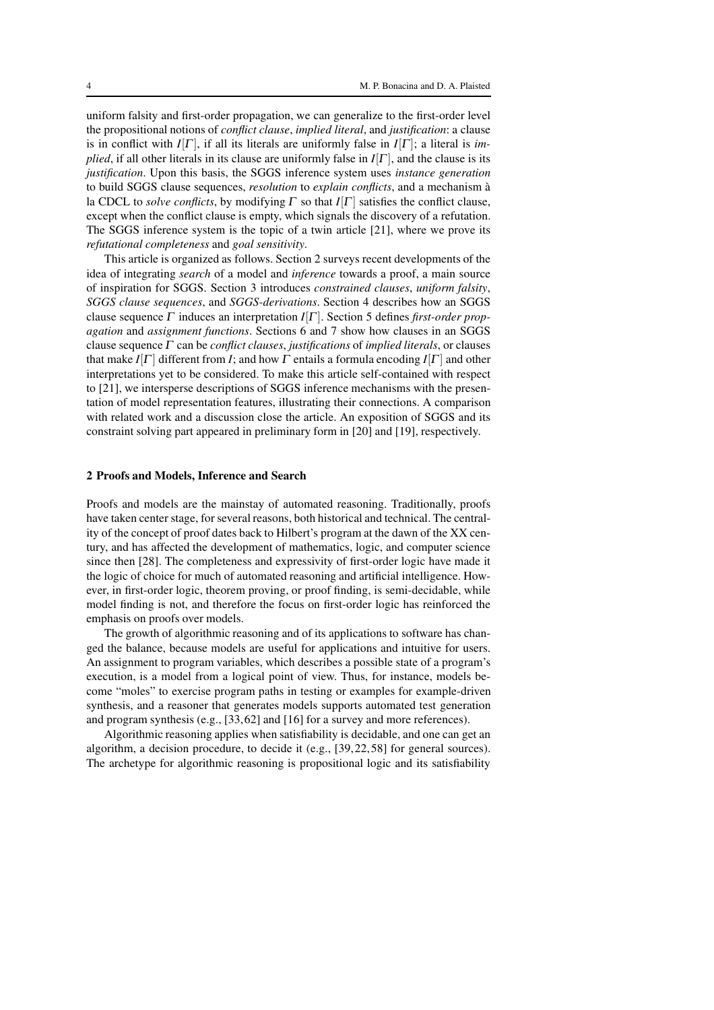uniform falsity and first-order propagation, we can generalize to the first-order level the propositional notions of *conflict clause*, *implied literal*, and *justification*: a clause is in conflict with  $I[\Gamma]$ , if all its literals are uniformly false in  $I[\Gamma]$ ; a literal is *implied*, if all other literals in its clause are uniformly false in *I*[Γ], and the clause is its *justification*. Upon this basis, the SGGS inference system uses *instance generation* to build SGGS clause sequences, *resolution* to *explain conflicts*, and a mechanism `a la CDCL to *solve conflicts*, by modifying  $\Gamma$  so that  $I[\Gamma]$  satisfies the conflict clause, except when the conflict clause is empty, which signals the discovery of a refutation. The SGGS inference system is the topic of a twin article [21], where we prove its *refutational completeness* and *goal sensitivity*.

This article is organized as follows. Section 2 surveys recent developments of the idea of integrating *search* of a model and *inference* towards a proof, a main source of inspiration for SGGS. Section 3 introduces *constrained clauses*, *uniform falsity*, *SGGS clause sequences*, and *SGGS-derivations*. Section 4 describes how an SGGS clause sequence <sup>Γ</sup> induces an interpretation *I*[<sup>Γ</sup> ]. Section 5 defines *first-order propagation* and *assignment functions*. Sections 6 and 7 show how clauses in an SGGS clause sequence <sup>Γ</sup> can be *conflict clauses*, *justifications* of *implied literals*, or clauses that make *I*[Γ] different from *I*; and how Γ entails a formula encoding *I*[Γ] and other interpretations yet to be considered. To make this article self-contained with respect to [21], we intersperse descriptions of SGGS inference mechanisms with the presentation of model representation features, illustrating their connections. A comparison with related work and a discussion close the article. An exposition of SGGS and its constraint solving part appeared in preliminary form in [20] and [19], respectively.

#### 2 Proofs and Models, Inference and Search

Proofs and models are the mainstay of automated reasoning. Traditionally, proofs have taken center stage, for several reasons, both historical and technical. The centrality of the concept of proof dates back to Hilbert's program at the dawn of the XX century, and has affected the development of mathematics, logic, and computer science since then [28]. The completeness and expressivity of first-order logic have made it the logic of choice for much of automated reasoning and artificial intelligence. However, in first-order logic, theorem proving, or proof finding, is semi-decidable, while model finding is not, and therefore the focus on first-order logic has reinforced the emphasis on proofs over models.

The growth of algorithmic reasoning and of its applications to software has changed the balance, because models are useful for applications and intuitive for users. An assignment to program variables, which describes a possible state of a program's execution, is a model from a logical point of view. Thus, for instance, models become "moles" to exercise program paths in testing or examples for example-driven synthesis, and a reasoner that generates models supports automated test generation and program synthesis (e.g., [33,62] and [16] for a survey and more references).

Algorithmic reasoning applies when satisfiability is decidable, and one can get an algorithm, a decision procedure, to decide it (e.g., [39,22,58] for general sources). The archetype for algorithmic reasoning is propositional logic and its satisfiability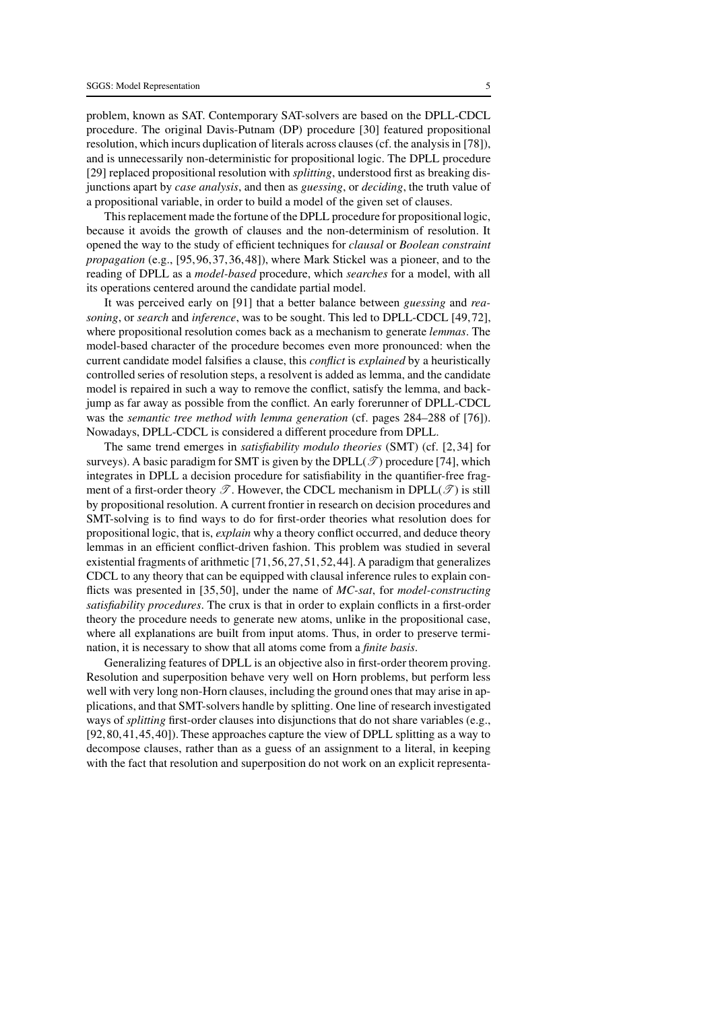problem, known as SAT. Contemporary SAT-solvers are based on the DPLL-CDCL procedure. The original Davis-Putnam (DP) procedure [30] featured propositional resolution, which incurs duplication of literals across clauses (cf. the analysis in [78]), and is unnecessarily non-deterministic for propositional logic. The DPLL procedure [29] replaced propositional resolution with *splitting*, understood first as breaking disjunctions apart by *case analysis*, and then as *guessing*, or *deciding*, the truth value of a propositional variable, in order to build a model of the given set of clauses.

This replacement made the fortune of the DPLL procedure for propositional logic, because it avoids the growth of clauses and the non-determinism of resolution. It opened the way to the study of efficient techniques for *clausal* or *Boolean constraint propagation* (e.g., [95,96,37,36,48]), where Mark Stickel was a pioneer, and to the reading of DPLL as a *model-based* procedure, which *searches* for a model, with all its operations centered around the candidate partial model.

It was perceived early on [91] that a better balance between *guessing* and *reasoning*, or *search* and *inference*, was to be sought. This led to DPLL-CDCL [49,72], where propositional resolution comes back as a mechanism to generate *lemmas*. The model-based character of the procedure becomes even more pronounced: when the current candidate model falsifies a clause, this *conflict* is *explained* by a heuristically controlled series of resolution steps, a resolvent is added as lemma, and the candidate model is repaired in such a way to remove the conflict, satisfy the lemma, and backjump as far away as possible from the conflict. An early forerunner of DPLL-CDCL was the *semantic tree method with lemma generation* (cf. pages 284–288 of [76]). Nowadays, DPLL-CDCL is considered a different procedure from DPLL.

The same trend emerges in *satisfiability modulo theories* (SMT) (cf. [2,34] for surveys). A basic paradigm for SMT is given by the DPLL( $\mathscr{T}$ ) procedure [74], which integrates in DPLL a decision procedure for satisfiability in the quantifier-free fragment of a first-order theory  $\mathscr{T}$ . However, the CDCL mechanism in DPLL( $\mathscr{T}$ ) is still by propositional resolution. A current frontier in research on decision procedures and SMT-solving is to find ways to do for first-order theories what resolution does for propositional logic, that is, *explain* why a theory conflict occurred, and deduce theory lemmas in an efficient conflict-driven fashion. This problem was studied in several existential fragments of arithmetic [71,56,27,51,52,44]. A paradigm that generalizes CDCL to any theory that can be equipped with clausal inference rules to explain conflicts was presented in [35,50], under the name of *MC-sat*, for *model-constructing satisfiability procedures*. The crux is that in order to explain conflicts in a first-order theory the procedure needs to generate new atoms, unlike in the propositional case, where all explanations are built from input atoms. Thus, in order to preserve termination, it is necessary to show that all atoms come from a *finite basis*.

Generalizing features of DPLL is an objective also in first-order theorem proving. Resolution and superposition behave very well on Horn problems, but perform less well with very long non-Horn clauses, including the ground ones that may arise in applications, and that SMT-solvers handle by splitting. One line of research investigated ways of *splitting* first-order clauses into disjunctions that do not share variables (e.g., [92,80,41,45,40]). These approaches capture the view of DPLL splitting as a way to decompose clauses, rather than as a guess of an assignment to a literal, in keeping with the fact that resolution and superposition do not work on an explicit representa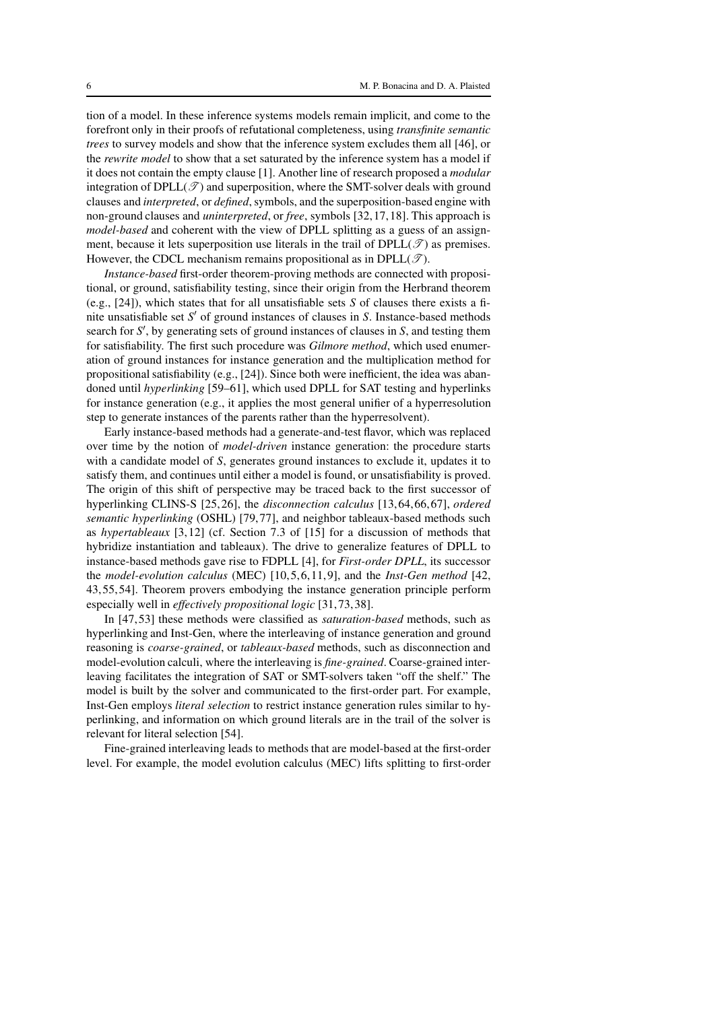tion of a model. In these inference systems models remain implicit, and come to the forefront only in their proofs of refutational completeness, using *transfinite semantic trees* to survey models and show that the inference system excludes them all [46], or the *rewrite model* to show that a set saturated by the inference system has a model if it does not contain the empty clause [1]. Another line of research proposed a *modular* integration of  $DPLL(\mathcal{T})$  and superposition, where the SMT-solver deals with ground clauses and *interpreted*, or *defined*, symbols, and the superposition-based engine with non-ground clauses and *uninterpreted*, or *free*, symbols [32,17,18]. This approach is *model-based* and coherent with the view of DPLL splitting as a guess of an assignment, because it lets superposition use literals in the trail of  $DPLL(\mathcal{T})$  as premises. However, the CDCL mechanism remains propositional as in DPLL( $\mathcal{T}$ ).

*Instance-based* first-order theorem-proving methods are connected with propositional, or ground, satisfiability testing, since their origin from the Herbrand theorem (e.g., [24]), which states that for all unsatisfiable sets *S* of clauses there exists a finite unsatisfiable set *S* ′ of ground instances of clauses in *S*. Instance-based methods search for *S* ′ , by generating sets of ground instances of clauses in *S*, and testing them for satisfiability. The first such procedure was *Gilmore method*, which used enumeration of ground instances for instance generation and the multiplication method for propositional satisfiability (e.g., [24]). Since both were inefficient, the idea was abandoned until *hyperlinking* [59–61], which used DPLL for SAT testing and hyperlinks for instance generation (e.g., it applies the most general unifier of a hyperresolution step to generate instances of the parents rather than the hyperresolvent).

Early instance-based methods had a generate-and-test flavor, which was replaced over time by the notion of *model-driven* instance generation: the procedure starts with a candidate model of *S*, generates ground instances to exclude it, updates it to satisfy them, and continues until either a model is found, or unsatisfiability is proved. The origin of this shift of perspective may be traced back to the first successor of hyperlinking CLINS-S [25,26], the *disconnection calculus* [13,64,66,67], *ordered semantic hyperlinking* (OSHL) [79,77], and neighbor tableaux-based methods such as *hypertableaux* [3,12] (cf. Section 7.3 of [15] for a discussion of methods that hybridize instantiation and tableaux). The drive to generalize features of DPLL to instance-based methods gave rise to FDPLL [4], for *First-order DPLL*, its successor the *model-evolution calculus* (MEC) [10,5,6,11,9], and the *Inst-Gen method* [42, 43,55,54]. Theorem provers embodying the instance generation principle perform especially well in *effectively propositional logic* [31,73,38].

In [47,53] these methods were classified as *saturation-based* methods, such as hyperlinking and Inst-Gen, where the interleaving of instance generation and ground reasoning is *coarse-grained*, or *tableaux-based* methods, such as disconnection and model-evolution calculi, where the interleaving is *fine-grained*. Coarse-grained interleaving facilitates the integration of SAT or SMT-solvers taken "off the shelf." The model is built by the solver and communicated to the first-order part. For example, Inst-Gen employs *literal selection* to restrict instance generation rules similar to hyperlinking, and information on which ground literals are in the trail of the solver is relevant for literal selection [54].

Fine-grained interleaving leads to methods that are model-based at the first-order level. For example, the model evolution calculus (MEC) lifts splitting to first-order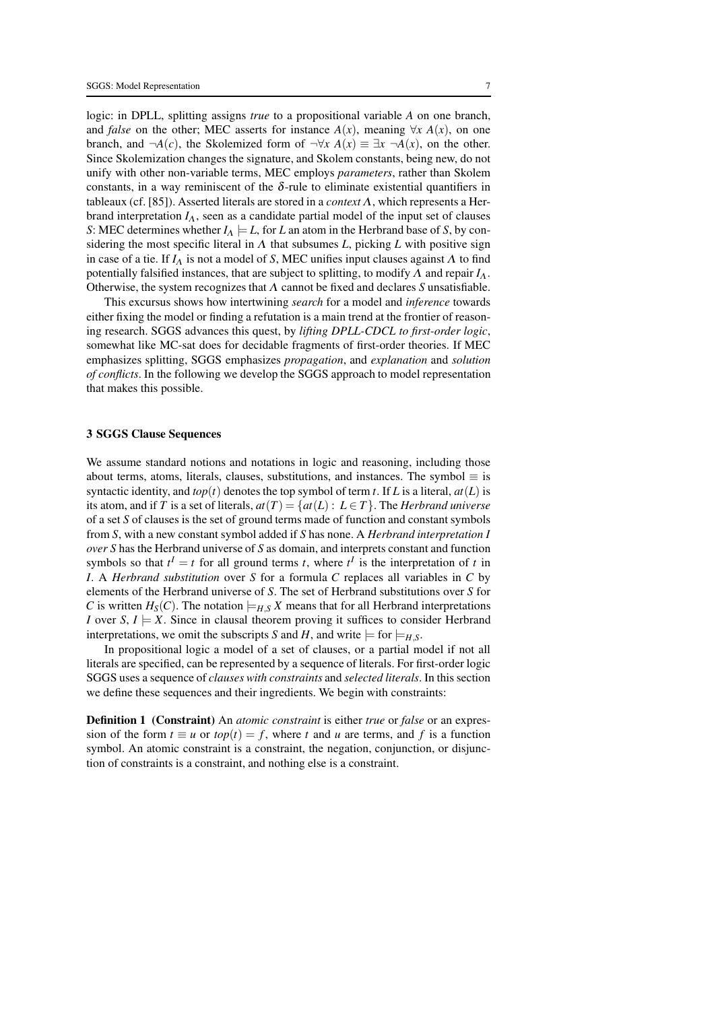logic: in DPLL, splitting assigns *true* to a propositional variable *A* on one branch, and *false* on the other; MEC asserts for instance  $A(x)$ , meaning  $\forall x A(x)$ , on one branch, and  $\neg A(c)$ , the Skolemized form of  $\neg \forall x A(x) \equiv \exists x \ \neg A(x)$ , on the other. Since Skolemization changes the signature, and Skolem constants, being new, do not unify with other non-variable terms, MEC employs *parameters*, rather than Skolem constants, in a way reminiscent of the  $\delta$ -rule to eliminate existential quantifiers in tableaux (cf. [85]). Asserted literals are stored in a *context* <sup>Λ</sup>, which represents a Herbrand interpretation  $I_A$ , seen as a candidate partial model of the input set of clauses *S*: MEC determines whether  $I_A \models L$ , for *L* an atom in the Herbrand base of *S*, by considering the most specific literal in  $\Lambda$  that subsumes  $L$ , picking  $L$  with positive sign in case of a tie. If  $I_A$  is not a model of *S*, MEC unifies input clauses against  $\Lambda$  to find potentially falsified instances, that are subject to splitting, to modify  $\Lambda$  and repair  $I_\Lambda$ . Otherwise, the system recognizes that <sup>Λ</sup> cannot be fixed and declares *S* unsatisfiable.

This excursus shows how intertwining *search* for a model and *inference* towards either fixing the model or finding a refutation is a main trend at the frontier of reasoning research. SGGS advances this quest, by *lifting DPLL-CDCL to first-order logic*, somewhat like MC-sat does for decidable fragments of first-order theories. If MEC emphasizes splitting, SGGS emphasizes *propagation*, and *explanation* and *solution of conflicts*. In the following we develop the SGGS approach to model representation that makes this possible.

## 3 SGGS Clause Sequences

We assume standard notions and notations in logic and reasoning, including those about terms, atoms, literals, clauses, substitutions, and instances. The symbol  $\equiv$  is syntactic identity, and  $top(t)$  denotes the top symbol of term *t*. If *L* is a literal,  $at(L)$  is its atom, and if *T* is a set of literals,  $at(T) = \{at(L): L \in T\}$ . The *Herbrand universe* of a set *S* of clauses is the set of ground terms made of function and constant symbols from *S*, with a new constant symbol added if *S* has none. A *Herbrand interpretation I over S* has the Herbrand universe of *S* as domain, and interprets constant and function symbols so that  $t^I = t$  for all ground terms *t*, where  $t^I$  is the interpretation of *t* in *I*. A *Herbrand substitution* over *S* for a formula *C* replaces all variables in *C* by elements of the Herbrand universe of *S*. The set of Herbrand substitutions over *S* for *C* is written  $H_S(C)$ . The notation  $\models H_S X$  means that for all Herbrand interpretations *I* over *S*,  $I \models X$ . Since in clausal theorem proving it suffices to consider Herbrand interpretations, we omit the subscripts *S* and *H*, and write  $\models$  for  $\models$  *H*, *S*.

In propositional logic a model of a set of clauses, or a partial model if not all literals are specified, can be represented by a sequence of literals. For first-order logic SGGS uses a sequence of *clauses with constraints* and *selected literals*. In this section we define these sequences and their ingredients. We begin with constraints:

Definition 1 (Constraint) An *atomic constraint* is either *true* or *false* or an expression of the form  $t \equiv u$  or  $top(t) = f$ , where *t* and *u* are terms, and *f* is a function symbol. An atomic constraint is a constraint, the negation, conjunction, or disjunction of constraints is a constraint, and nothing else is a constraint.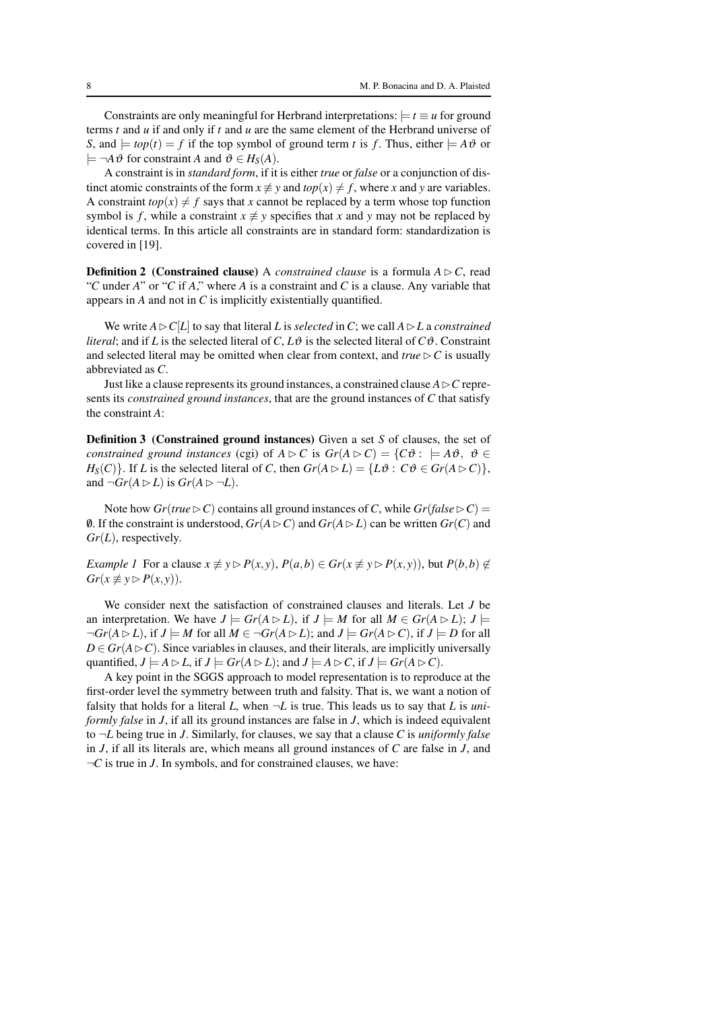Constraints are only meaningful for Herbrand interpretations:  $\models t \equiv u$  for ground terms *t* and *u* if and only if *t* and *u* are the same element of the Herbrand universe of *S*, and  $\models top(t) = f$  if the top symbol of ground term *t* is *f*. Thus, either  $\models A\vartheta$  or  $\models \neg A \vartheta$  for constraint *A* and  $\vartheta \in H_S(A)$ .

A constraint is in *standard form*, if it is either *true* or *false* or a conjunction of distinct atomic constraints of the form  $x \neq y$  and  $top(x) \neq f$ , where *x* and *y* are variables. A constraint  $top(x) \neq f$  says that *x* cannot be replaced by a term whose top function symbol is *f*, while a constraint  $x \neq y$  specifies that *x* and *y* may not be replaced by identical terms. In this article all constraints are in standard form: standardization is covered in [19].

**Definition 2** (Constrained clause) A *constrained clause* is a formula  $A \triangleright C$ , read "*C* under *A*" or "*C* if *A*," where *A* is a constraint and *C* is a clause. Any variable that appears in *A* and not in *C* is implicitly existentially quantified.

We write  $A \triangleright C[L]$  to say that literal *L* is *selected* in *C*; we call  $A \triangleright L$  a *constrained literal*; and if *L* is the selected literal of *C*,  $L\vartheta$  is the selected literal of  $C\vartheta$ . Constraint and selected literal may be omitted when clear from context, and  $true \triangleright C$  is usually abbreviated as *C*.

Just like a clause represents its ground instances, a constrained clause  $A \triangleright C$  represents its *constrained ground instances*, that are the ground instances of *C* that satisfy the constraint *A*:

Definition 3 (Constrained ground instances) Given a set *S* of clauses, the set of *constrained ground instances* (cgi) of  $A \triangleright C$  is  $Gr(A \triangleright C) = \{C \vartheta : \models A \vartheta, \vartheta \in C \}$ *H*<sub>S</sub>(*C*)}. If *L* is the selected literal of *C*, then  $Gr(A \triangleright L) = \{L \vartheta : C \vartheta \in Gr(A \triangleright C)\},\$ and  $\neg Gr(A \triangleright L)$  is  $Gr(A \triangleright \neg L)$ .

Note how  $Gr(true \triangleright C)$  contains all ground instances of *C*, while  $Gr(false \triangleright C)$  = 0. If the constraint is understood,  $Gr(A \triangleright C)$  and  $Gr(A \triangleright L)$  can be written  $Gr(C)$  and *Gr*(*L*), respectively.

*Example 1* For a clause  $x \not\equiv y \triangleright P(x, y)$ ,  $P(a, b) \in Gr(x \not\equiv y \triangleright P(x, y))$ , but  $P(b, b) \not\in$  $Gr(x \not\equiv y \triangleright P(x, y)).$ 

We consider next the satisfaction of constrained clauses and literals. Let *J* be an interpretation. We have  $J \models Gr(A \triangleright L)$ , if  $J \models M$  for all  $M \in Gr(A \triangleright L)$ ;  $J \models$  $\neg Gr(A \triangleright L)$ , if  $J \models M$  for all  $M \in \neg Gr(A \triangleright L)$ ; and  $J \models Gr(A \triangleright C)$ , if  $J \models D$  for all  $D \in Gr(A \triangleright C)$ . Since variables in clauses, and their literals, are implicitly universally quantified,  $J \models A \triangleright L$ , if  $J \models Gr(A \triangleright L)$ ; and  $J \models A \triangleright C$ , if  $J \models Gr(A \triangleright C)$ .

A key point in the SGGS approach to model representation is to reproduce at the first-order level the symmetry between truth and falsity. That is, we want a notion of falsity that holds for a literal *L*, when  $\neg L$  is true. This leads us to say that *L* is *uniformly false* in *J*, if all its ground instances are false in *J*, which is indeed equivalent to ¬*L* being true in *J*. Similarly, for clauses, we say that a clause *C* is *uniformly false* in *J*, if all its literals are, which means all ground instances of *C* are false in *J*, and  $\neg C$  is true in *J*. In symbols, and for constrained clauses, we have: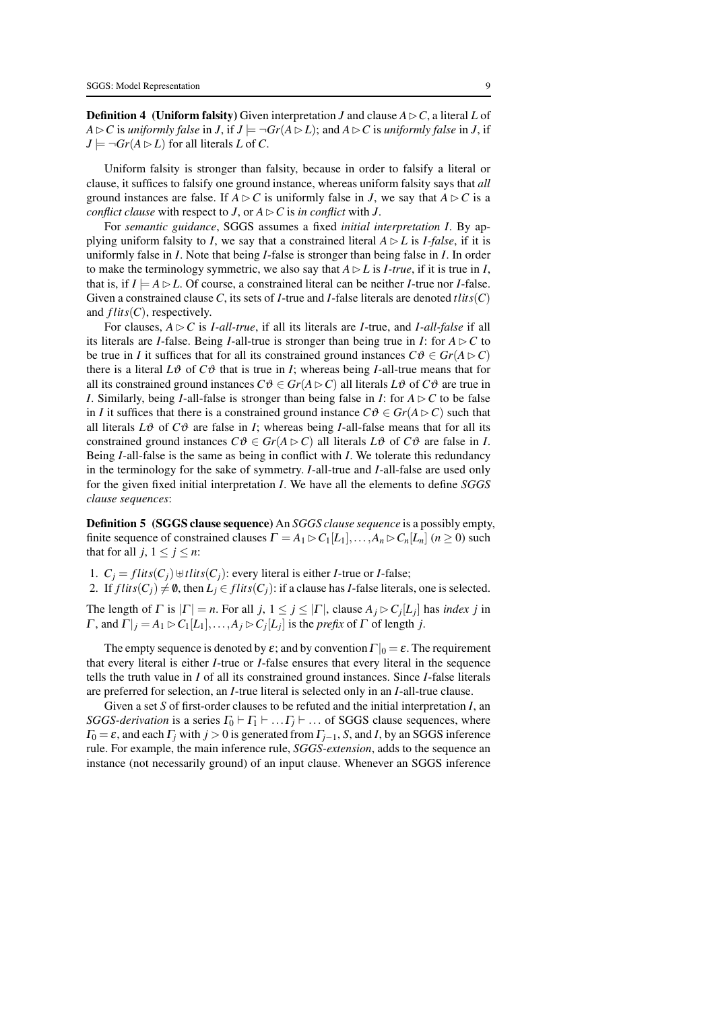**Definition 4** (Uniform falsity) Given interpretation *J* and clause  $A \triangleright C$ , a literal *L* of *A*  $\triangleright$  *C* is *uniformly false* in *J*, if  $J \models \neg Gr(A \triangleright L)$ ; and  $A \triangleright C$  is *uniformly false* in *J*, if  $J \models \neg Gr(A \triangleright L)$  for all literals *L* of *C*.

Uniform falsity is stronger than falsity, because in order to falsify a literal or clause, it suffices to falsify one ground instance, whereas uniform falsity says that *all* ground instances are false. If  $A \triangleright C$  is uniformly false in *J*, we say that  $A \triangleright C$  is a *conflict clause* with respect to *J*, or  $A \triangleright C$  is *in conflict* with *J*.

For *semantic guidance*, SGGS assumes a fixed *initial interpretation I*. By applying uniform falsity to *I*, we say that a constrained literal  $A \triangleright L$  is *I-false*, if it is uniformly false in *I*. Note that being *I*-false is stronger than being false in *I*. In order to make the terminology symmetric, we also say that  $A \triangleright L$  is *I-true*, if it is true in *I*, that is, if  $I \models A \triangleright L$ . Of course, a constrained literal can be neither *I*-true nor *I*-false. Given a constrained clause *C*, its sets of *I*-true and *I*-false literals are denoted *tlits*(*C*) and  $flits(C)$ , respectively.

For clauses,  $A \triangleright C$  is *I-all-true*, if all its literals are *I*-true, and *I-all-false* if all its literals are *I*-false. Being *I*-all-true is stronger than being true in *I*: for  $A \triangleright C$  to be true in *I* it suffices that for all its constrained ground instances  $C\vartheta \in Gr(A \triangleright C)$ there is a literal  $L\vartheta$  of  $C\vartheta$  that is true in *I*; whereas being *I*-all-true means that for all its constrained ground instances  $C\vartheta \in Gr(A \triangleright C)$  all literals  $L\vartheta$  of  $C\vartheta$  are true in *I*. Similarly, being *I*-all-false is stronger than being false in *I*: for  $A \triangleright C$  to be false in *I* it suffices that there is a constrained ground instance  $C\vartheta \in Gr(A \triangleright C)$  such that all literals  $L\vartheta$  of  $C\vartheta$  are false in *I*; whereas being *I*-all-false means that for all its constrained ground instances  $C\vartheta \in Gr(A \triangleright C)$  all literals  $L\vartheta$  of  $C\vartheta$  are false in *I*. Being *I*-all-false is the same as being in conflict with *I*. We tolerate this redundancy in the terminology for the sake of symmetry. *I*-all-true and *I*-all-false are used only for the given fixed initial interpretation *I*. We have all the elements to define *SGGS clause sequences*:

Definition 5 (SGGS clause sequence) An *SGGS clause sequence* is a possibly empty, finite sequence of constrained clauses  $\Gamma = A_1 \triangleright C_1[L_1], \ldots, A_n \triangleright C_n[L_n]$  ( $n \ge 0$ ) such that for all  $j, 1 \leq j \leq n$ :

1.  $C_j = flits(C_j) ⊎tlits(C_j)$ : every literal is either *I*-true or *I*-false;

2. If  $flits(C_i) \neq \emptyset$ , then  $L_i \in flits(C_i)$ : if a clause has *I*-false literals, one is selected. The length of  $\Gamma$  is  $|\Gamma| = n$ . For all  $j, 1 \le j \le |\Gamma|$ , clause  $A_j \triangleright C_j[L_j]$  has *index*  $j$  in  $\Gamma$ , and  $\Gamma|_j = A_1 \triangleright C_1[L_1], \ldots, A_j \triangleright C_j[L_j]$  is the *prefix* of  $\Gamma$  of length *j*.

The empty sequence is denoted by  $\varepsilon$ ; and by convention  $\Gamma|_0 = \varepsilon$ . The requirement that every literal is either *I*-true or *I*-false ensures that every literal in the sequence tells the truth value in *I* of all its constrained ground instances. Since *I*-false literals are preferred for selection, an *I*-true literal is selected only in an *I*-all-true clause.

Given a set *S* of first-order clauses to be refuted and the initial interpretation *I*, an *SGGS-derivation* is a series  $\Gamma_0 \vdash \Gamma_1 \vdash \ldots \Gamma_j \vdash \ldots$  of SGGS clause sequences, where  $\Gamma_0 = \varepsilon$ , and each  $\Gamma_i$  with  $j > 0$  is generated from  $\Gamma_{i-1}$ , *S*, and *I*, by an SGGS inference rule. For example, the main inference rule, *SGGS-extension*, adds to the sequence an instance (not necessarily ground) of an input clause. Whenever an SGGS inference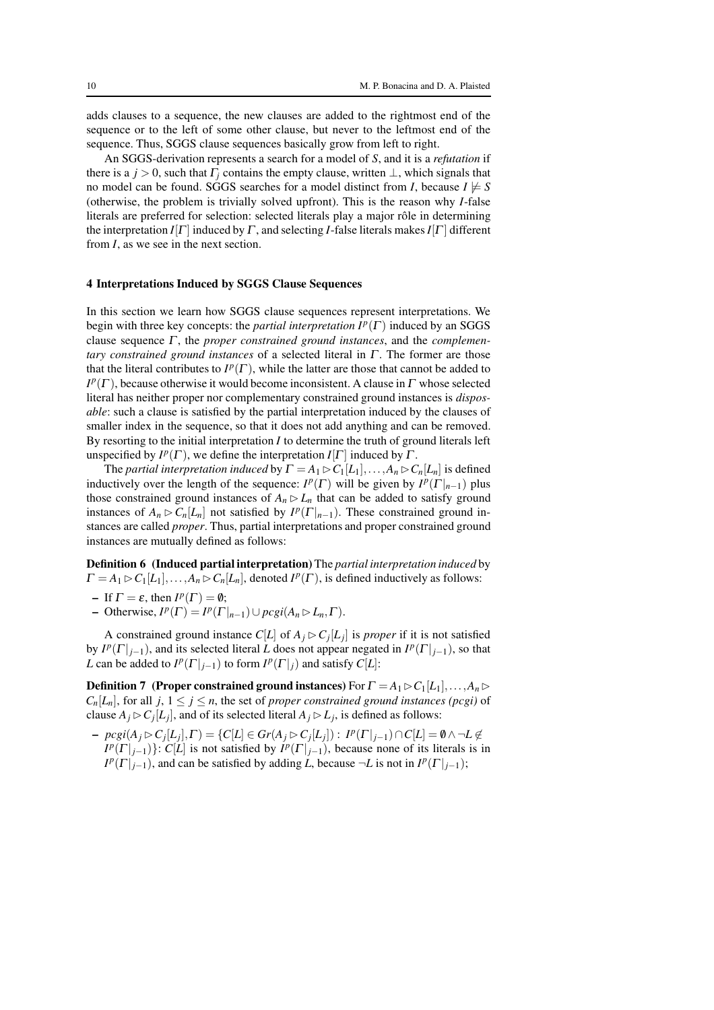adds clauses to a sequence, the new clauses are added to the rightmost end of the sequence or to the left of some other clause, but never to the leftmost end of the sequence. Thus, SGGS clause sequences basically grow from left to right.

An SGGS-derivation represents a search for a model of *S*, and it is a *refutation* if there is a  $j > 0$ , such that  $\Gamma_j$  contains the empty clause, written  $\bot$ , which signals that no model can be found. SGGS searches for a model distinct from *I*, because  $I \not\models S$ (otherwise, the problem is trivially solved upfront). This is the reason why *I*-false literals are preferred for selection: selected literals play a major rôle in determining the interpretation *I*[Γ] induced by Γ, and selecting *I*-false literals makes *I*[Γ] different from *I*, as we see in the next section.

## 4 Interpretations Induced by SGGS Clause Sequences

In this section we learn how SGGS clause sequences represent interpretations. We begin with three key concepts: the *partial interpretation*  $I^p(\Gamma)$  induced by an SGGS clause sequence <sup>Γ</sup> , the *proper constrained ground instances*, and the *complementary constrained ground instances* of a selected literal in Γ. The former are those that the literal contributes to  $I^p(\Gamma)$ , while the latter are those that cannot be added to  $I^p(\Gamma)$ , because otherwise it would become inconsistent. A clause in  $\Gamma$  whose selected literal has neither proper nor complementary constrained ground instances is *disposable*: such a clause is satisfied by the partial interpretation induced by the clauses of smaller index in the sequence, so that it does not add anything and can be removed. By resorting to the initial interpretation *I* to determine the truth of ground literals left unspecified by  $I^p(\Gamma)$ , we define the interpretation  $I[\Gamma]$  induced by  $\Gamma$ .

The *partial interpretation induced* by  $\Gamma = A_1 \triangleright C_1[L_1], \ldots, A_n \triangleright C_n[L_n]$  is defined inductively over the length of the sequence:  $I^p(\Gamma)$  will be given by  $I^p(\Gamma|_{n-1})$  plus those constrained ground instances of  $A_n \triangleright L_n$  that can be added to satisfy ground instances of  $A_n \triangleright C_n[L_n]$  not satisfied by  $I^p(\Gamma|_{n-1})$ . These constrained ground instances are called *proper*. Thus, partial interpretations and proper constrained ground instances are mutually defined as follows:

Definition 6 (Induced partial interpretation) The *partial interpretation induced* by  $\Gamma = A_1 \triangleright C_1[L_1], \ldots, A_n \triangleright C_n[L_n]$ , denoted  $I^p(\Gamma)$ , is defined inductively as follows:

- If  $\Gamma = \varepsilon$ , then  $I^p(\Gamma) = \emptyset$ ;
- − Otherwise,  $I^p(\Gamma) = I^p(\Gamma|_{n-1}) \cup pcgi(A_n \triangleright L_n, \Gamma)$ .

A constrained ground instance  $C[L]$  of  $A_j \triangleright C_j[L_j]$  is *proper* if it is not satisfied by  $I^p(\Gamma|_{j-1})$ , and its selected literal *L* does not appear negated in  $I^p(\Gamma|_{j-1})$ , so that *L* can be added to  $I^p(\Gamma|_{j-1})$  to form  $I^p(\Gamma|_j)$  and satisfy *C*[*L*]:

**Definition 7** (Proper constrained ground instances) For  $\Gamma = A_1 \triangleright C_1[L_1], \ldots, A_n \triangleright$  $C_n[L_n]$ , for all *j*,  $1 \le j \le n$ , the set of *proper constrained ground instances (pcgi)* of clause  $A_j \triangleright C_j[L_j]$ , and of its selected literal  $A_j \triangleright L_j$ , is defined as follows:

 $- p c g i (A_j \triangleright C_j[L_j], \Gamma) = \{ C[L] \in Gr(A_j \triangleright C_j[L_j]) : I^p(\Gamma|_{j-1}) \cap C[L] = \emptyset \wedge \neg L \not\in$  $I^p(\Gamma|_{j-1})$ : *C*[*L*] is not satisfied by  $I^p(\Gamma|_{j-1})$ , because none of its literals is in  $I^p(\Gamma|_{j-1})$ , and can be satisfied by adding *L*, because  $\neg L$  is not in  $I^p(\Gamma|_{j-1})$ ;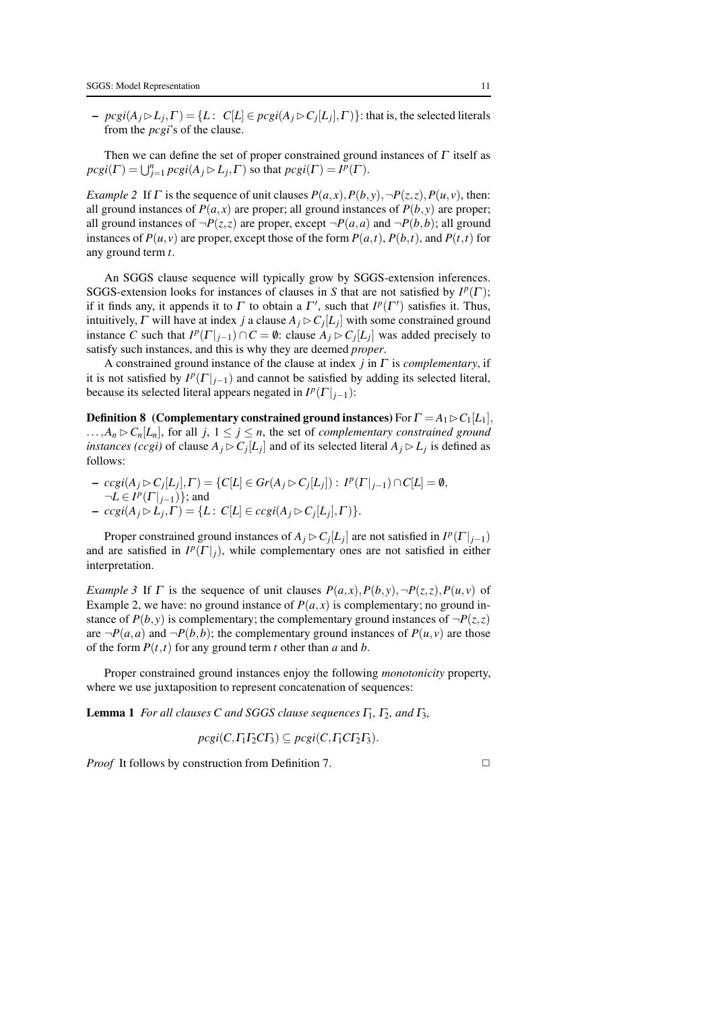$- p c g i (A_j \triangleright L_j, \Gamma) = \{ L : C[L] \in p c g i (A_j \triangleright C_j [L_j], \Gamma) \}$ : that is, the selected literals from the *pcgi*'s of the clause.

Then we can define the set of proper constrained ground instances of  $\Gamma$  itself as  $\text{proj}(F) = \bigcup_{j=1}^{n} \text{proj}(A_j \triangleright L_j, F)$  so that  $\text{proj}(F) = I^p(F)$ .

*Example 2* If  $\Gamma$  is the sequence of unit clauses  $P(a,x)$ ,  $P(b,y)$ ,  $\neg P(z,z)$ ,  $P(u,y)$ , then: all ground instances of  $P(a,x)$  are proper; all ground instances of  $P(b,y)$  are proper; all ground instances of  $\neg P(z, z)$  are proper, except  $\neg P(a, a)$  and  $\neg P(b, b)$ ; all ground instances of  $P(u, v)$  are proper, except those of the form  $P(a, t)$ ,  $P(b, t)$ , and  $P(t, t)$  for any ground term *t*.

An SGGS clause sequence will typically grow by SGGS-extension inferences. SGGS-extension looks for instances of clauses in *S* that are not satisfied by  $I^p(\Gamma)$ ; if it finds any, it appends it to  $\Gamma$  to obtain a  $\Gamma'$ , such that  $I^p(\Gamma')$  satisfies it. Thus, intuitively,  $\Gamma$  will have at index *j* a clause  $A_j \rhd C_j[L_j]$  with some constrained ground instance *C* such that  $I^p(\Gamma|_{j-1}) \cap C = \emptyset$ : clause  $A_j \triangleright C_j[L_j]$  was added precisely to satisfy such instances, and this is why they are deemed *proper*.

A constrained ground instance of the clause at index *j* in <sup>Γ</sup> is *complementary*, if it is not satisfied by  $I^p(\Gamma|_{j-1})$  and cannot be satisfied by adding its selected literal, because its selected literal appears negated in  $I^p(\Gamma|_{j-1})$ :

**Definition 8** (Complementary constrained ground instances) For  $\Gamma = A_1 \triangleright C_1[L_1]$ ,  $..., A_n \triangleright C_n[L_n]$ , for all  $j, 1 \leq j \leq n$ , the set of *complementary constrained ground instances (ccgi)* of clause  $A_j \triangleright C_j[L_j]$  and of its selected literal  $A_j \triangleright L_j$  is defined as follows:

- 
$$
ccsj(A_j \rhd C_j[L_j], \Gamma) = \{C[L] \in Gr(A_j \rhd C_j[L_j]) : I^p(\Gamma|_{j-1}) \cap C[L] = \emptyset,
$$
  
\n- $L \in I^p(\Gamma|_{j-1})\};$  and  
\n-  $ccsj(A_j \rhd L_j, \Gamma) = \{L : C[L] \in ccsj(A_j \rhd C_j[L_j], \Gamma)\}.$ 

Proper constrained ground instances of  $A_j \triangleright C_j[L_j]$  are not satisfied in  $I^p(\Gamma|_{j-1})$ and are satisfied in  $I^p(\Gamma|_j)$ , while complementary ones are not satisfied in either interpretation.

*Example 3* If  $\Gamma$  is the sequence of unit clauses  $P(a,x), P(b,y), \neg P(z,z), P(u,v)$  of Example 2, we have: no ground instance of  $P(a, x)$  is complementary; no ground instance of  $P(b, y)$  is complementary; the complementary ground instances of  $\neg P(z, z)$ are  $\neg P(a,a)$  and  $\neg P(b,b)$ ; the complementary ground instances of  $P(u,v)$  are those of the form  $P(t,t)$  for any ground term *t* other than *a* and *b*.

Proper constrained ground instances enjoy the following *monotonicity* property, where we use juxtaposition to represent concatenation of sequences:

**Lemma 1** *For all clauses C and SGGS clause sequences*  $\Gamma_1$ ,  $\Gamma_2$ *, and*  $\Gamma_3$ *,* 

$$
pcgi(C,\Gamma_1\Gamma_2\Gamma_3)\subseteq pcgi(C,\Gamma_1\Gamma_2\Gamma_3).
$$

*Proof* It follows by construction from Definition 7. □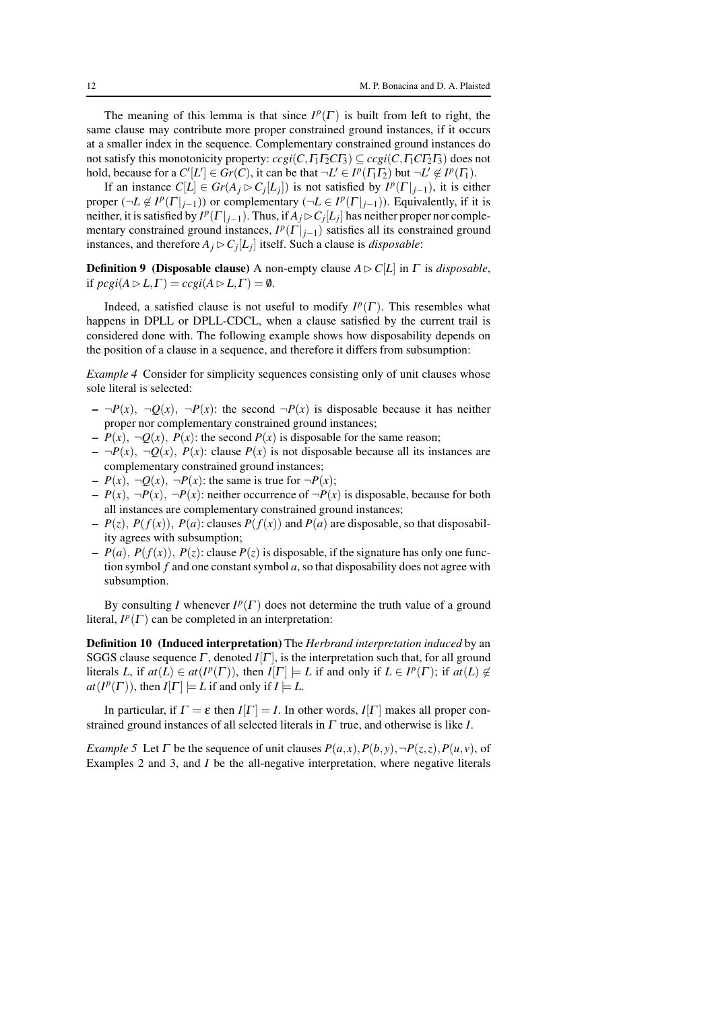The meaning of this lemma is that since  $I^p(\Gamma)$  is built from left to right, the same clause may contribute more proper constrained ground instances, if it occurs at a smaller index in the sequence. Complementary constrained ground instances do not satisfy this monotonicity property:  $ccgi(C, \Gamma_1 \Gamma_2 C \Gamma_3) \subseteq ccgi(C, \Gamma_1 C \Gamma_2 \Gamma_3)$  does not hold, because for a  $C'[L'] \in Gr(C)$ , it can be that  $\neg L' \in I^p(\Gamma_1 \Gamma_2)$  but  $\neg L' \notin I^p(\Gamma_1)$ .

If an instance  $C[L] \in Gr(A_j \triangleright C_j[L_j])$  is not satisfied by  $I^p(\Gamma|_{j-1})$ , it is either proper  $(\neg L \notin I^p(\Gamma|_{j-1}))$  or complementary  $(\neg L \in I^p(\Gamma|_{j-1}))$ . Equivalently, if it is neither, it is satisfied by  $I^p(\Gamma|_{j-1})$ . Thus, if  $A_j \triangleright C_j[L_j]$  has neither proper nor complementary constrained ground instances,  $I^p(\Gamma|_{j-1})$  satisfies all its constrained ground instances, and therefore  $A_j \triangleright C_j[L_j]$  itself. Such a clause is *disposable*:

**Definition 9** (Disposable clause) A non-empty clause  $A \triangleright C[L]$  in  $\Gamma$  is *disposable*, if  $\text{pcgi}(A \triangleright L, \Gamma) = \text{ccgi}(A \triangleright L, \Gamma) = \emptyset.$ 

Indeed, a satisfied clause is not useful to modify  $I^p(\Gamma)$ . This resembles what happens in DPLL or DPLL-CDCL, when a clause satisfied by the current trail is considered done with. The following example shows how disposability depends on the position of a clause in a sequence, and therefore it differs from subsumption:

*Example 4* Consider for simplicity sequences consisting only of unit clauses whose sole literal is selected:

- $\neg P(x)$ ,  $\neg Q(x)$ ,  $\neg P(x)$ : the second  $\neg P(x)$  is disposable because it has neither proper nor complementary constrained ground instances;
- $-P(x)$ ,  $\neg Q(x)$ ,  $P(x)$ : the second  $P(x)$  is disposable for the same reason;
- $-P(x)$ ,  $\neg P(x)$ ,  $P(x)$ : clause  $P(x)$  is not disposable because all its instances are complementary constrained ground instances;
- $-P(x)$ ,  $\neg P(x)$ ,  $\neg P(x)$ : the same is true for  $\neg P(x)$ ;
- $-P(x)$ ,  $\neg P(x)$ ,  $\neg P(x)$ : neither occurrence of  $\neg P(x)$  is disposable, because for both all instances are complementary constrained ground instances;
- $-P(z)$ ,  $P(f(x))$ ,  $P(a)$ : clauses  $P(f(x))$  and  $P(a)$  are disposable, so that disposability agrees with subsumption;
- $-P(a)$ ,  $P(f(x))$ ,  $P(z)$ : clause  $P(z)$  is disposable, if the signature has only one function symbol *f* and one constant symbol *a*, so that disposability does not agree with subsumption.

By consulting *I* whenever  $I^p(\Gamma)$  does not determine the truth value of a ground literal,  $I^p(\Gamma)$  can be completed in an interpretation:

Definition 10 (Induced interpretation) The *Herbrand interpretation induced* by an SGGS clause sequence  $\Gamma$ , denoted  $I[\Gamma]$ , is the interpretation such that, for all ground literals *L*, if  $at(L) \in at(P(\Gamma))$ , then  $I[\Gamma] \models L$  if and only if  $L \in I^p(\Gamma)$ ; if  $at(L) \notin$  $at(I^p(\Gamma))$ , then  $I[\Gamma] \models L$  if and only if  $I \models L$ .

In particular, if  $\Gamma = \varepsilon$  then  $I[\Gamma] = I$ . In other words,  $I[\Gamma]$  makes all proper constrained ground instances of all selected literals in <sup>Γ</sup> true, and otherwise is like *I*.

*Example 5* Let  $\Gamma$  be the sequence of unit clauses  $P(a,x), P(b,y), \neg P(z,z), P(u,v)$ , of Examples 2 and 3, and *I* be the all-negative interpretation, where negative literals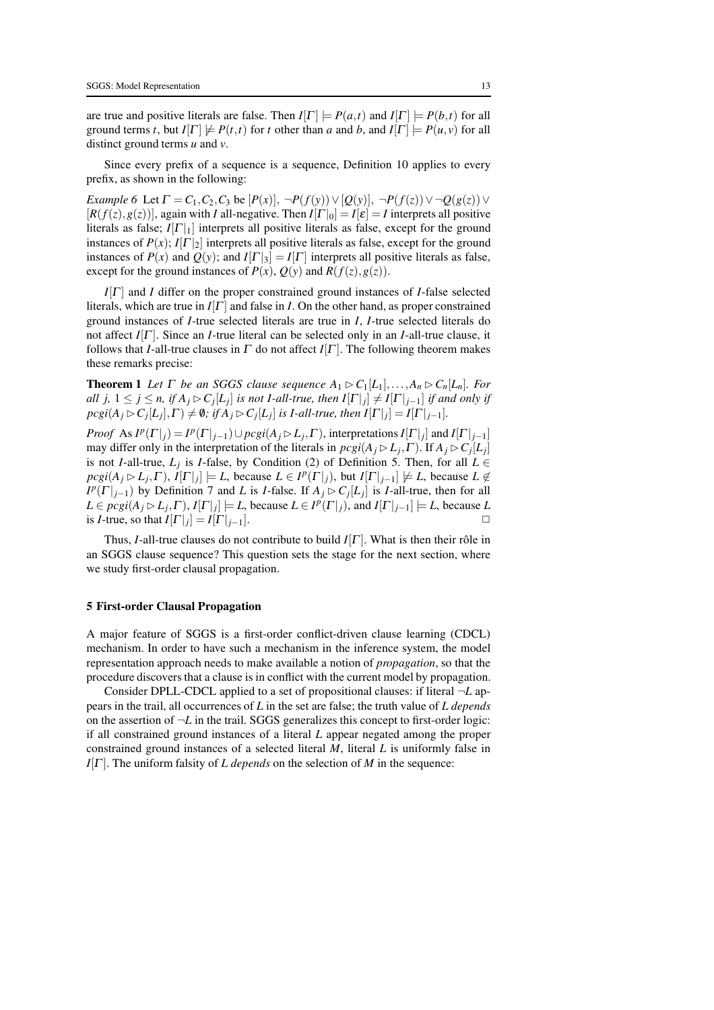are true and positive literals are false. Then  $I[\Gamma] \models P(a,t)$  and  $I[\Gamma] \models P(b,t)$  for all ground terms *t*, but  $I[\Gamma] \not\models P(t,t)$  for *t* other than *a* and *b*, and  $I[\Gamma] \models P(u,v)$  for all distinct ground terms *u* and *v*.

Since every prefix of a sequence is a sequence, Definition 10 applies to every prefix, as shown in the following:

*Example 6* Let  $\Gamma = C_1, C_2, C_3$  be  $[P(x)]$ ,  $\neg P(f(y)) \vee [Q(y)]$ ,  $\neg P(f(z)) \vee \neg Q(g(z)) \vee$  $[R(f(z), g(z))]$ , again with *I* all-negative. Then  $I[\Gamma|_0] = I[\varepsilon] = I$  interprets all positive literals as false;  $I[\Gamma]_1$  interprets all positive literals as false, except for the ground instances of  $P(x)$ ;  $I[\Gamma]_2$  interprets all positive literals as false, except for the ground instances of  $P(x)$  and  $Q(y)$ ; and  $I[\Gamma]_3] = I[\Gamma]$  interprets all positive literals as false, except for the ground instances of  $P(x)$ ,  $Q(y)$  and  $R(f(z), g(z))$ .

 $I[\Gamma]$  and *I* differ on the proper constrained ground instances of *I*-false selected literals, which are true in  $I[\Gamma]$  and false in *I*. On the other hand, as proper constrained ground instances of *I*-true selected literals are true in *I*, *I*-true selected literals do not affect *I*[<sup>Γ</sup> ]. Since an *I*-true literal can be selected only in an *I*-all-true clause, it follows that *I*-all-true clauses in  $\Gamma$  do not affect  $I[\Gamma]$ . The following theorem makes these remarks precise:

**Theorem 1** Let  $\Gamma$  be an SGGS clause sequence  $A_1 \triangleright C_1[L_1],...,A_n \triangleright C_n[L_n]$ *. For all*  $j, 1 \leq j \leq n$ , if  $A_j \triangleright C_j[L_j]$  is not *I*-all-true, then  $I[\Gamma|_j] \neq I[\Gamma|_{j-1}]$  if and only if  $\log i(A_j \triangleright C_j[L_j], \Gamma) \neq \emptyset$ ; if  $A_j \triangleright C_j[L_j]$  is *I-all-true, then*  $I[\Gamma|_j] = I[\Gamma|_{j-1}]$ .

*Proof* As  $I^p(\Gamma|_j) = I^p(\Gamma|_{j-1}) \cup pcgi(A_j \triangleright L_j, \Gamma)$ , interpretations  $I[\Gamma|_j]$  and  $I[\Gamma|_{j-1}]$ may differ only in the interpretation of the literals in  $\text{pcgi}(A_j \triangleright L_j, \Gamma)$ . If  $A_j \triangleright C_j[L_j]$ is not *I*-all-true,  $L_j$  is *I*-false, by Condition (2) of Definition 5. Then, for all  $L \in$  $p c g i(A_j \triangleright L_j, \Gamma), I[\Gamma|_j] \models L$ , because  $L \in I^p(\Gamma|_j)$ , but  $I[\Gamma|_{j-1}] \not\models L$ , because  $L \not\in$  $I^p(\Gamma|_{j-1})$  by Definition 7 and *L* is *I*-false. If  $A_j \triangleright C_j[L_j]$  is *I*-all-true, then for all  $L \in \text{pcgi}(A_j \triangleright L_j, \Gamma), I[\Gamma|_j] \models L$ , because  $L \in I^p(\Gamma|_j)$ , and  $I[\Gamma|_{j-1}] \models L$ , because *L* is *I*-true, so that  $I[\Gamma|_j] = I[\Gamma|_{j-1}]$ .

Thus, *I*-all-true clauses do not contribute to build  $I[\Gamma]$ . What is then their rôle in an SGGS clause sequence? This question sets the stage for the next section, where we study first-order clausal propagation.

#### 5 First-order Clausal Propagation

A major feature of SGGS is a first-order conflict-driven clause learning (CDCL) mechanism. In order to have such a mechanism in the inference system, the model representation approach needs to make available a notion of *propagation*, so that the procedure discovers that a clause is in conflict with the current model by propagation.

Consider DPLL-CDCL applied to a set of propositional clauses: if literal ¬*L* appears in the trail, all occurrences of *L* in the set are false; the truth value of *L depends* on the assertion of  $\neg L$  in the trail. SGGS generalizes this concept to first-order logic: if all constrained ground instances of a literal *L* appear negated among the proper constrained ground instances of a selected literal *M*, literal *L* is uniformly false in  $I[\Gamma]$ . The uniform falsity of *L* depends on the selection of *M* in the sequence: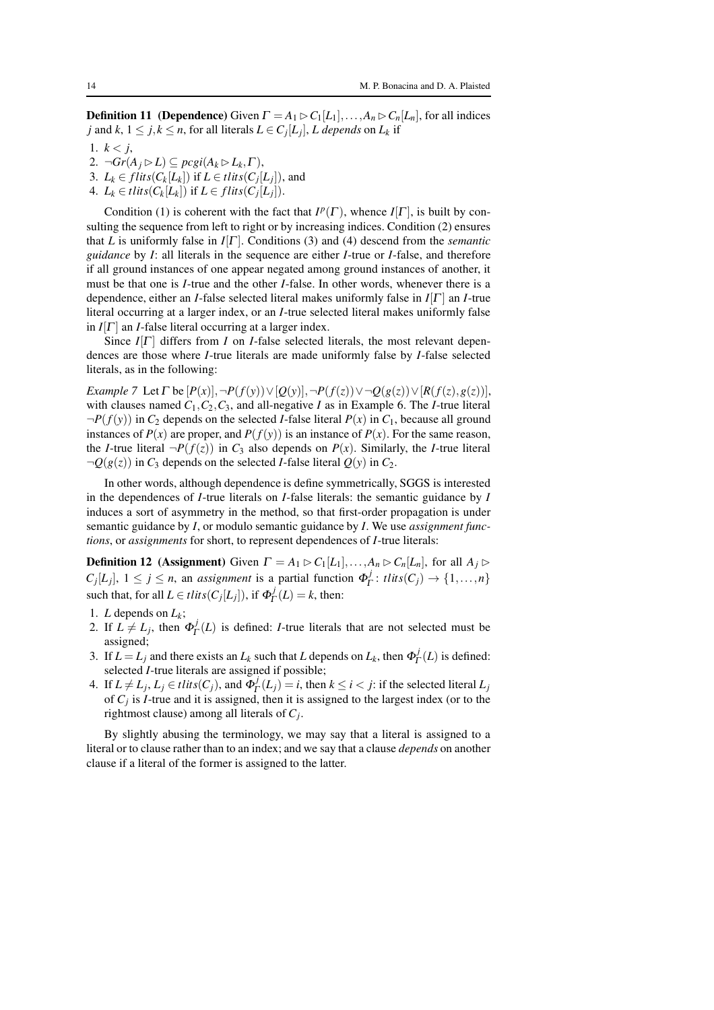**Definition 11** (Dependence) Given  $\Gamma = A_1 \triangleright C_1[L_1], \ldots, A_n \triangleright C_n[L_n]$ , for all indices *j* and *k*,  $1 \leq j, k \leq n$ , for all literals  $L \in C_j[L_j]$ ,  $L$  depends on  $L_k$  if

- 1.  $k < j$ ,
- 2.  $\neg Gr(A_j \triangleright L) \subseteq \text{pcgi}(A_k \triangleright L_k, \Gamma),$
- 3.  $L_k \in \text{flits}(C_k[L_k]) \text{ if } L \in \text{flits}(C_j[L_j]), \text{ and}$
- 4.  $L_k \in \text{flits}(C_k[L_k]) \text{ if } L \in \text{flits}(C_j[L_j]).$

Condition (1) is coherent with the fact that  $I^p(\Gamma)$ , whence  $I[\Gamma]$ , is built by consulting the sequence from left to right or by increasing indices. Condition (2) ensures that *L* is uniformly false in *I*[<sup>Γ</sup> ]. Conditions (3) and (4) descend from the *semantic guidance* by *I*: all literals in the sequence are either *I*-true or *I*-false, and therefore if all ground instances of one appear negated among ground instances of another, it must be that one is *I*-true and the other *I*-false. In other words, whenever there is a dependence, either an *I*-false selected literal makes uniformly false in *I*[<sup>Γ</sup> ] an *I*-true literal occurring at a larger index, or an *I*-true selected literal makes uniformly false in  $I[\Gamma]$  an *I*-false literal occurring at a larger index.

Since  $I[\Gamma]$  differs from *I* on *I*-false selected literals, the most relevant dependences are those where *I*-true literals are made uniformly false by *I*-false selected literals, as in the following:

*Example 7* Let  $\Gamma$  be  $[P(x)]$ ,  $\neg P(f(y)) \vee [Q(y)]$ ,  $\neg P(f(z)) \vee \neg Q(g(z)) \vee [R(f(z), g(z))]$ , with clauses named  $C_1$ ,  $C_2$ ,  $C_3$ , and all-negative *I* as in Example 6. The *I*-true literal  $\neg P(f(y))$  in  $C_2$  depends on the selected *I*-false literal  $P(x)$  in  $C_1$ , because all ground instances of  $P(x)$  are proper, and  $P(f(y))$  is an instance of  $P(x)$ . For the same reason, the *I*-true literal  $\neg P(f(z))$  in  $C_3$  also depends on  $P(x)$ . Similarly, the *I*-true literal  $\neg Q(g(z))$  in  $C_3$  depends on the selected *I*-false literal  $Q(y)$  in  $C_2$ .

In other words, although dependence is define symmetrically, SGGS is interested in the dependences of *I*-true literals on *I*-false literals: the semantic guidance by *I* induces a sort of asymmetry in the method, so that first-order propagation is under semantic guidance by *I*, or modulo semantic guidance by *I*. We use *assignment functions*, or *assignments* for short, to represent dependences of *I*-true literals:

**Definition 12** (Assignment) Given  $\Gamma = A_1 \triangleright C_1[L_1], \ldots, A_n \triangleright C_n[L_n]$ , for all  $A_j \triangleright$  $C_j[L_j]$ ,  $1 \leq j \leq n$ , an *assignment* is a partial function  $\Phi^j_{\Gamma}$ : *tlits*( $C_j$ )  $\to$  {1,...,*n*} such that, for all  $L \in \mathit{tlits}(C_j[L_j])$ , if  $\Phi^j_{\Gamma}(L) = k$ , then:

- 1. *L* depends on  $L_k$ ;
- 2. If  $L \neq L_j$ , then  $\Phi_{\Gamma}^{j}(L)$  is defined: *I*-true literals that are not selected must be assigned;
- 3. If  $L = L_j$  and there exists an  $L_k$  such that *L* depends on  $L_k$ , then  $\Phi^j_{\Gamma}(L)$  is defined: selected *I*-true literals are assigned if possible;
- 4. If  $L \neq L_j$ ,  $L_j \in \text{flits}(C_j)$ , and  $\Phi_{\Gamma}^j(L_j) = i$ , then  $k \leq i < j$ : if the selected literal  $L_j$ of *C<sup>j</sup>* is *I*-true and it is assigned, then it is assigned to the largest index (or to the rightmost clause) among all literals of *C<sup>j</sup>* .

By slightly abusing the terminology, we may say that a literal is assigned to a literal or to clause rather than to an index; and we say that a clause *depends* on another clause if a literal of the former is assigned to the latter.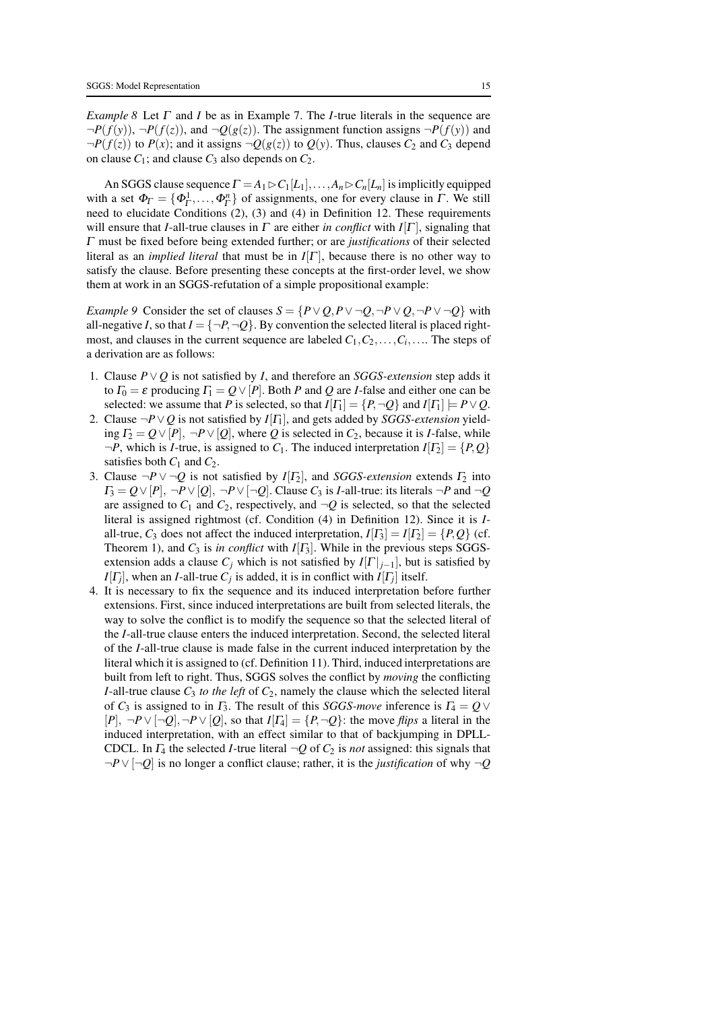*Example 8* Let Γ and *I* be as in Example 7. The *I*-true literals in the sequence are  $\neg P(f(y))$ ,  $\neg P(f(z))$ , and  $\neg Q(g(z))$ . The assignment function assigns  $\neg P(f(y))$  and  $\neg P(f(z))$  to  $P(x)$ ; and it assigns  $\neg Q(g(z))$  to  $Q(y)$ . Thus, clauses  $C_2$  and  $C_3$  depend on clause  $C_1$ ; and clause  $C_3$  also depends on  $C_2$ .

An SGGS clause sequence  $\Gamma = A_1 \triangleright C_1[L_1], \ldots, A_n \triangleright C_n[L_n]$  is implicitly equipped with a set  $\Phi_{\Gamma} = \{ \Phi_{\Gamma}^1, \ldots, \Phi_{\Gamma}^n \}$  of assignments, one for every clause in  $\Gamma$ . We still need to elucidate Conditions (2), (3) and (4) in Definition 12. These requirements will ensure that *I*-all-true clauses in  $\Gamma$  are either *in conflict* with  $I[\Gamma]$ , signaling that <sup>Γ</sup> must be fixed before being extended further; or are *justifications* of their selected literal as an *implied literal* that must be in *I*[<sup>Γ</sup> ], because there is no other way to satisfy the clause. Before presenting these concepts at the first-order level, we show them at work in an SGGS-refutation of a simple propositional example:

*Example 9* Consider the set of clauses  $S = {P \lor Q, P \lor \neg Q, \neg P \lor Q, \neg P \lor \neg Q}$  with all-negative *I*, so that  $I = \{-P, \neg Q\}$ . By convention the selected literal is placed rightmost, and clauses in the current sequence are labeled  $C_1, C_2, \ldots, C_i, \ldots$ . The steps of a derivation are as follows:

- 1. Clause *P*∨ *Q* is not satisfied by *I*, and therefore an *SGGS-extension* step adds it to  $\Gamma_0 = \varepsilon$  producing  $\Gamma_1 = Q \vee [P]$ . Both *P* and *Q* are *I*-false and either one can be selected: we assume that *P* is selected, so that  $I[T_1] = \{P, \neg Q\}$  and  $I[T_1] \models P \lor Q$ .
- 2. Clause  $\neg P \lor Q$  is not satisfied by *I*[ $\Gamma_1$ ], and gets added by *SGGS-extension* yielding  $\Gamma_2 = Q \vee [P], \neg P \vee [Q]$ , where Q is selected in  $C_2$ , because it is *I*-false, while  $\neg P$ , which is *I*-true, is assigned to *C*<sub>1</sub>. The induced interpretation  $I[\Gamma_2] = \{P, Q\}$ satisfies both  $C_1$  and  $C_2$ .
- 3. Clause  $\neg P \vee \neg Q$  is not satisfied by  $I[\Gamma_2]$ , and *SGGS-extension* extends  $\Gamma_2$  into  $\Gamma_3 = Q \vee [P], \neg P \vee [Q], \neg P \vee [\neg Q]$ . Clause  $C_3$  is *I*-all-true: its literals  $\neg P$  and  $\neg Q$ are assigned to  $C_1$  and  $C_2$ , respectively, and  $\neg Q$  is selected, so that the selected literal is assigned rightmost (cf. Condition (4) in Definition 12). Since it is *I*all-true,  $C_3$  does not affect the induced interpretation,  $I[T_3] = I[T_2] = {P,Q}$  (cf. Theorem 1), and  $C_3$  is *in conflict* with  $I[\Gamma_3]$ . While in the previous steps SGGSextension adds a clause  $C_j$  which is not satisfied by  $I[\Gamma]_{j-1}$ , but is satisfied by *I*[ $\Gamma$ *j*], when an *I*-all-true  $C_j$  is added, it is in conflict with *I*[ $\Gamma$ *j*] itself.
- 4. It is necessary to fix the sequence and its induced interpretation before further extensions. First, since induced interpretations are built from selected literals, the way to solve the conflict is to modify the sequence so that the selected literal of the *I*-all-true clause enters the induced interpretation. Second, the selected literal of the *I*-all-true clause is made false in the current induced interpretation by the literal which it is assigned to (cf. Definition 11). Third, induced interpretations are built from left to right. Thus, SGGS solves the conflict by *moving* the conflicting *I*-all-true clause  $C_3$  *to the left* of  $C_2$ , namely the clause which the selected literal of  $C_3$  is assigned to in  $\Gamma_3$ . The result of this *SGGS-move* inference is  $\Gamma_4 = Q \vee$  $[P]$ ,  $\neg P \vee [\neg Q]$ ,  $\neg P \vee [Q]$ , so that  $I[I_4] = \{P, \neg Q\}$ : the move *flips* a literal in the induced interpretation, with an effect similar to that of backjumping in DPLL-CDCL. In  $\Gamma_4$  the selected *I*-true literal  $\neg Q$  of  $C_2$  is *not* assigned: this signals that ¬*P*∨[¬*Q*] is no longer a conflict clause; rather, it is the *justification* of why ¬*Q*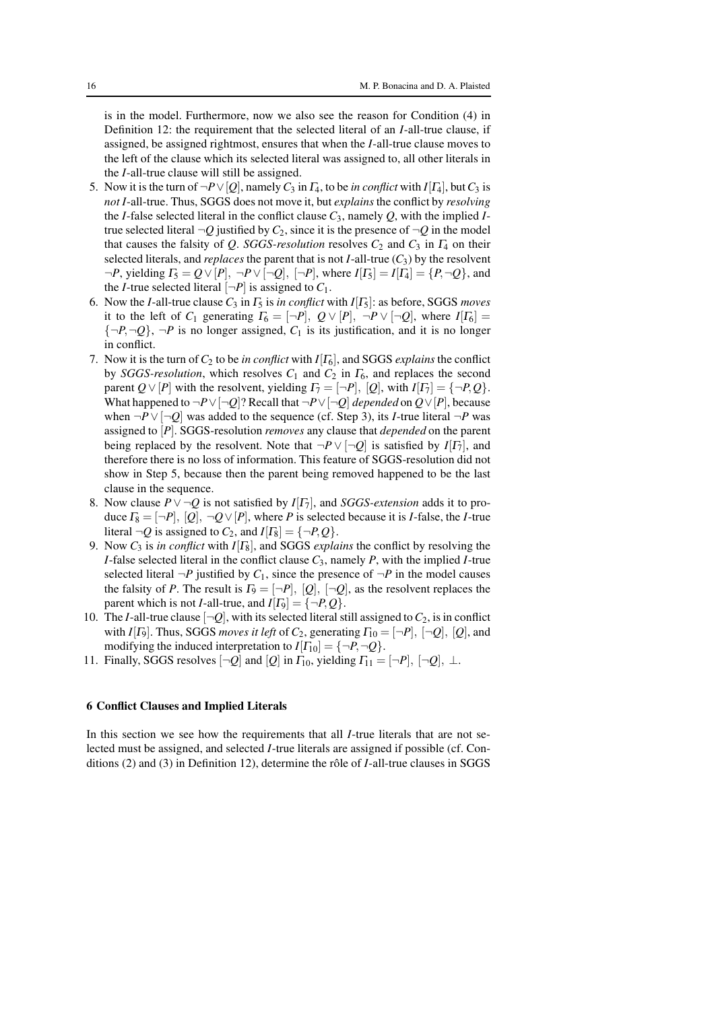is in the model. Furthermore, now we also see the reason for Condition (4) in Definition 12: the requirement that the selected literal of an *I*-all-true clause, if assigned, be assigned rightmost, ensures that when the *I*-all-true clause moves to the left of the clause which its selected literal was assigned to, all other literals in the *I*-all-true clause will still be assigned.

- 5. Now it is the turn of  $\neg P \vee [Q]$ , namely  $C_3$  in  $\Gamma_4$ , to be *in conflict* with  $I[\Gamma_4]$ , but  $C_3$  is *not I*-all-true. Thus, SGGS does not move it, but *explains* the conflict by *resolving* the *I*-false selected literal in the conflict clause  $C_3$ , namely  $Q$ , with the implied *I*true selected literal  $\neg Q$  justified by  $C_2$ , since it is the presence of  $\neg Q$  in the model that causes the falsity of *Q. SGGS-resolution* resolves  $C_2$  and  $C_3$  in  $\Gamma_4$  on their selected literals, and *replaces* the parent that is not *I*-all-true  $(C_3)$  by the resolvent  $\neg P$ , yielding  $\Gamma_5 = Q \vee [P], \neg P \vee [\neg Q], [\neg P]$ , where  $I[\Gamma_5] = I[\Gamma_4] = \{P, \neg Q\}$ , and the *I*-true selected literal  $[\neg P]$  is assigned to  $C_1$ .
- 6. Now the *I*-all-true clause  $C_3$  in  $\Gamma_5$  is *in conflict* with  $I[\Gamma_5]$ : as before, SGGS *moves* it to the left of  $C_1$  generating  $\Gamma_6 = [\neg P], Q \lor [P], \neg P \lor [\neg Q],$  where  $I[\Gamma_6] =$  ${\lbrace \neg P, \neg Q \rbrace}$ ,  ${\neg P}$  is no longer assigned,  $C_1$  is its justification, and it is no longer in conflict.
- 7. Now it is the turn of*C*<sup>2</sup> to be *in conflict* with *I*[<sup>Γ</sup>6], and SGGS *explains* the conflict by *SGGS-resolution*, which resolves  $C_1$  and  $C_2$  in  $\Gamma_6$ , and replaces the second parent  $Q \vee [P]$  with the resolvent, yielding  $\Gamma_7 = [-P]$ ,  $[Q]$ , with  $I[\Gamma_7] = {\neg P, Q}$ . What happened to  $\neg P \vee \neg Q$  ? Recall that  $\neg P \vee \neg Q$  *depended* on  $Q \vee [P]$ , because when ¬*P*∨[¬*Q*] was added to the sequence (cf. Step 3), its *I*-true literal ¬*P* was assigned to [*P*]. SGGS-resolution *removes* any clause that *depended* on the parent being replaced by the resolvent. Note that  $\neg P \vee [\neg Q]$  is satisfied by *I*[ $\Gamma$ <sub>7</sub>], and therefore there is no loss of information. This feature of SGGS-resolution did not show in Step 5, because then the parent being removed happened to be the last clause in the sequence.
- 8. Now clause *P*∨ ¬*Q* is not satisfied by *I*[<sup>Γ</sup>7], and *SGGS-extension* adds it to produce  $\Gamma_8 = [\neg P]$ ,  $[Q]$ ,  $\neg Q \lor [P]$ , where *P* is selected because it is *I*-false, the *I*-true literal  $\neg Q$  is assigned to  $C_2$ , and  $I[T_8] = {\neg P, Q}$ .
- 9. Now *C*<sup>3</sup> is *in conflict* with *I*[<sup>Γ</sup>8], and SGGS *explains* the conflict by resolving the *I*-false selected literal in the conflict clause *C*3, namely *P*, with the implied *I*-true selected literal  $\neg P$  justified by  $C_1$ , since the presence of  $\neg P$  in the model causes the falsity of *P*. The result is  $\Gamma_9 = [\neg P]$ ,  $[Q]$ ,  $[\neg Q]$ , as the resolvent replaces the parent which is not *I*-all-true, and  $I[T_9] = \{\neg P, Q\}.$
- 10. The *I*-all-true clause  $[\neg Q]$ , with its selected literal still assigned to  $C_2$ , is in conflict with *I*| $\Gamma_9$ |. Thus, SGGS *moves it left* of  $C_2$ , generating  $\Gamma_{10} = \left[\neg P\right], \left[\neg Q\right], \left[Q\right]$ , and modifying the induced interpretation to  $I[T_{10}] = \{\neg P, \neg Q\}.$
- 11. Finally, SGGS resolves  $[\neg Q]$  and  $[Q]$  in  $\Gamma_{10}$ , yielding  $\Gamma_{11} = [\neg P]$ ,  $[\neg Q]$ ,  $\bot$ .

# 6 Conflict Clauses and Implied Literals

In this section we see how the requirements that all *I*-true literals that are not selected must be assigned, and selected *I*-true literals are assigned if possible (cf. Conditions  $(2)$  and  $(3)$  in Definition 12), determine the rôle of *I*-all-true clauses in SGGS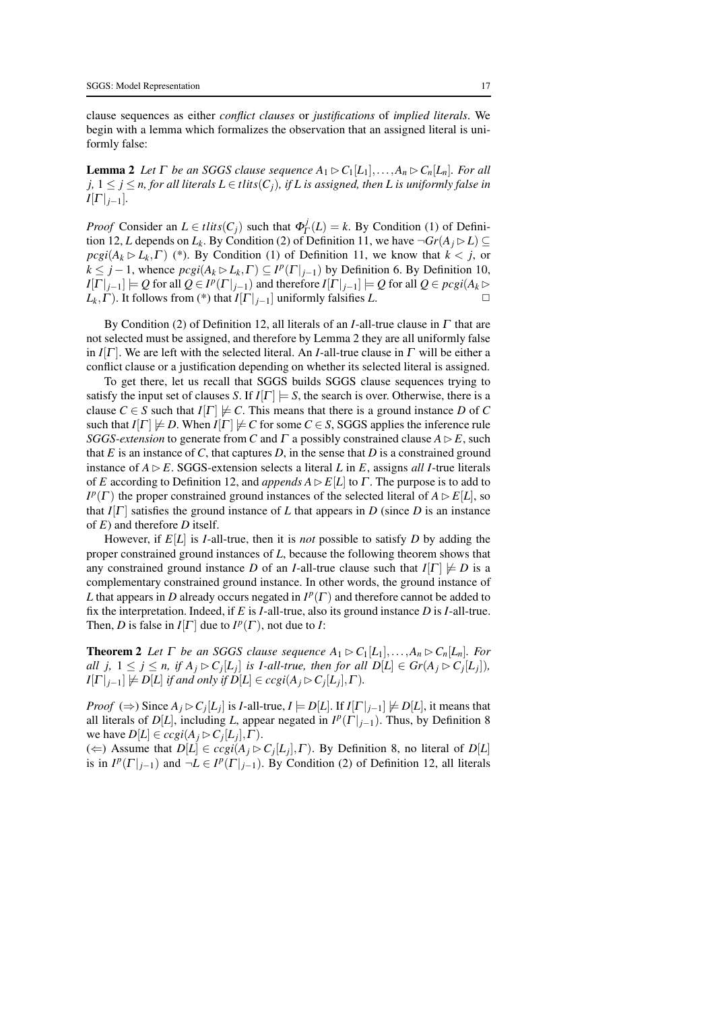clause sequences as either *conflict clauses* or *justifications* of *implied literals*. We begin with a lemma which formalizes the observation that an assigned literal is uniformly false:

**Lemma 2** Let  $\Gamma$  be an SGGS clause sequence  $A_1 \triangleright C_1[L_1],...,A_n \triangleright C_n[L_n]$ *. For all j,*  $1 \leq j \leq n$ , for all literals  $L \in \text{flits}(C_i)$ , if  $L$  is assigned, then  $L$  is uniformly false in  $I[\Gamma]_{i-1}$ .

*Proof* Consider an  $L \in \text{flits}(C_j)$  such that  $\Phi_\Gamma^j(L) = k$ . By Condition (1) of Definition 12, *L* depends on  $L_k$ . By Condition (2) of Definition 11, we have  $\neg Gr(A_j \triangleright L) \subseteq$  $\text{proj}(A_k \triangleright L_k, \Gamma)$  (\*). By Condition (1) of Definition 11, we know that  $k < j$ , or *k* ≤ *j* − 1, whence  $\text{pcgi}(A_k \triangleright L_k, \Gamma)$  ⊆  $I^p(\Gamma|_{j-1})$  by Definition 6. By Definition 10,  $I[\Gamma|_{j-1}] \models Q$  for all  $Q \in I^p(\Gamma|_{j-1})$  and therefore  $I[\Gamma|_{j-1}] \models Q$  for all  $Q \in pcgi(A_k \rhd Q)$ *L*<sub>*k*</sub>,  $\Gamma$ ). It follows from (\*) that  $I[\Gamma]_{j-1}$  uniformly falsifies *L*.

By Condition (2) of Definition 12, all literals of an *I*-all-true clause in <sup>Γ</sup> that are not selected must be assigned, and therefore by Lemma 2 they are all uniformly false in *I*[ $\Gamma$ ]. We are left with the selected literal. An *I*-all-true clause in  $\Gamma$  will be either a conflict clause or a justification depending on whether its selected literal is assigned.

To get there, let us recall that SGGS builds SGGS clause sequences trying to satisfy the input set of clauses *S*. If  $I[\Gamma] \models S$ , the search is over. Otherwise, there is a clause  $C \in S$  such that  $I[\Gamma] \not\models C$ . This means that there is a ground instance *D* of *C* such that  $I[\Gamma] \not\models D$ . When  $I[\Gamma] \not\models C$  for some  $C \in S$ , SGGS applies the inference rule *SGGS-extension* to generate from *C* and *Γ* a possibly constrained clause  $A \triangleright E$ , such that  $E$  is an instance of  $C$ , that captures  $D$ , in the sense that  $D$  is a constrained ground instance of  $A \triangleright E$ . SGGS-extension selects a literal *L* in *E*, assigns *all I*-true literals of *E* according to Definition 12, and *appends*  $A \triangleright E[L]$  to  $\Gamma$ . The purpose is to add to  $I^p(\Gamma)$  the proper constrained ground instances of the selected literal of  $A \triangleright E[L]$ , so that  $I[\Gamma]$  satisfies the ground instance of L that appears in D (since D is an instance of *E*) and therefore *D* itself.

However, if *E*[*L*] is *I*-all-true, then it is *not* possible to satisfy *D* by adding the proper constrained ground instances of *L*, because the following theorem shows that any constrained ground instance *D* of an *I*-all-true clause such that  $I[\Gamma] \not\models D$  is a complementary constrained ground instance. In other words, the ground instance of *L* that appears in *D* already occurs negated in  $I^p(\Gamma)$  and therefore cannot be added to fix the interpretation. Indeed, if *E* is *I*-all-true, also its ground instance *D* is *I*-all-true. Then, *D* is false in  $I[\Gamma]$  due to  $I^p(\Gamma)$ , not due to *I*:

**Theorem 2** Let  $\Gamma$  be an SGGS clause sequence  $A_1 \triangleright C_1[L_1],...,A_n \triangleright C_n[L_n]$ *. For all*  $j, 1 \leq j \leq n$ , if  $A_j \triangleright C_j[L_j]$  is *I-all-true, then for all*  $D[L] \in Gr(A_j \triangleright C_j[L_j])$ ,  $I[\Gamma|_{j-1}] \not\models D[L]$  *if and only if*  $D[L] \in ccsi(A_j \triangleright C_j[L_j], \Gamma)$ *.* 

*Proof* ( $\Rightarrow$ ) Since  $A_j \triangleright C_j[L_j]$  is *I*-all-true,  $I \models D[L]$ . If  $I[\Gamma|_{j-1}] \not\models D[L]$ , it means that all literals of  $D[L]$ , including *L*, appear negated in  $I^p(\Gamma|_{j-1})$ . Thus, by Definition 8 we have  $D[L] \in c cgi(A_j \triangleright C_j[L_j], \Gamma)$ .

 $(\Leftarrow)$  Assume that  $D[L] \in ccsi(A_j \triangleright C_j[L_j], \Gamma)$ . By Definition 8, no literal of  $D[L]$ is in  $I^p(\Gamma|_{j-1})$  and  $\neg L \in I^p(\Gamma|_{j-1})$ . By Condition (2) of Definition 12, all literals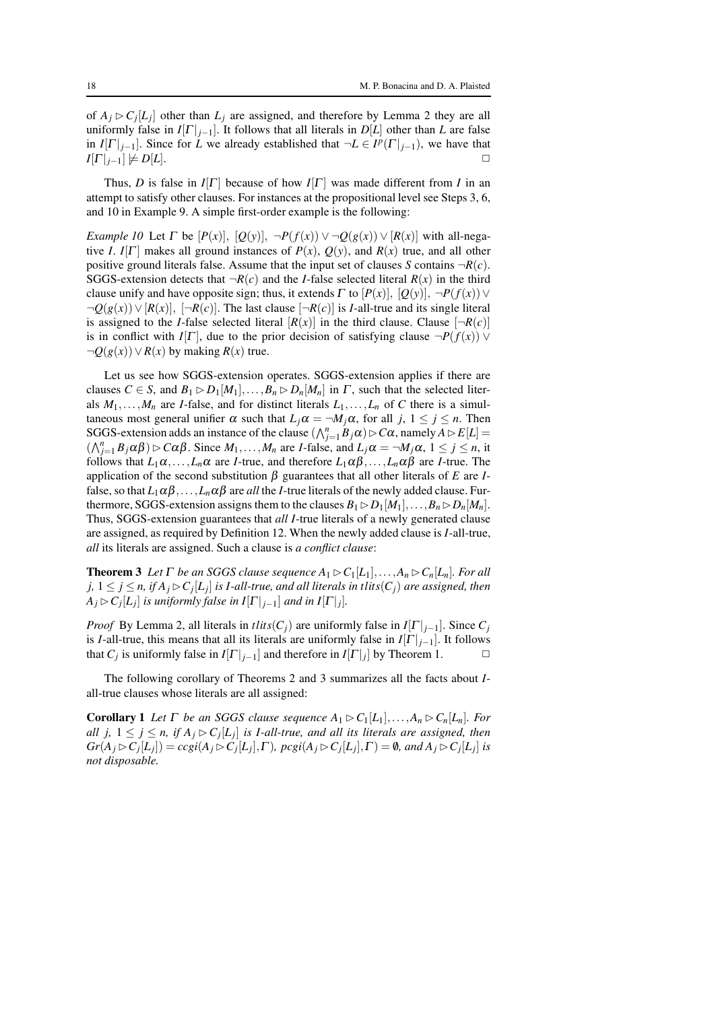of  $A_j \triangleright C_j[L_j]$  other than  $L_j$  are assigned, and therefore by Lemma 2 they are all uniformly false in  $I[\Gamma]_{i-1}$ . It follows that all literals in  $D[L]$  other than *L* are false in *I*[ $\Gamma$ | $j$ −1]. Since for *L* we already established that  $\neg L \in I^p(\Gamma|_{j-1})$ , we have that  $I[\Gamma]_{j-1} \not\models D[L].$ 

Thus, *D* is false in *I*[Γ] because of how *I*[Γ] was made different from *I* in an attempt to satisfy other clauses. For instances at the propositional level see Steps 3, 6, and 10 in Example 9. A simple first-order example is the following:

*Example 10* Let  $\Gamma$  be  $[P(x)]$ ,  $[Q(y)]$ ,  $\neg P(f(x)) \vee \neg Q(g(x)) \vee [R(x)]$  with all-negative *I*. *I*[ $\Gamma$ ] makes all ground instances of  $P(x)$ ,  $Q(y)$ , and  $R(x)$  true, and all other positive ground literals false. Assume that the input set of clauses *S* contains  $\neg R(c)$ . SGGS-extension detects that  $\neg R(c)$  and the *I*-false selected literal  $R(x)$  in the third clause unify and have opposite sign; thus, it extends  $\Gamma$  to  $[P(x)]$ ,  $[Q(y)]$ ,  $\neg P(f(x)) \vee$ ¬*Q*(*g*(*x*))∨[*R*(*x*)], [¬*R*(*c*)]. The last clause [¬*R*(*c*)] is *I*-all-true and its single literal is assigned to the *I*-false selected literal  $[R(x)]$  in the third clause. Clause  $[\neg R(c)]$ is in conflict with *I*[*Γ*], due to the prior decision of satisfying clause  $\neg P(f(x))$   $\vee$  $\neg Q(g(x)) \vee R(x)$  by making  $R(x)$  true.

Let us see how SGGS-extension operates. SGGS-extension applies if there are clauses  $C \in S$ , and  $B_1 \triangleright D_1[M_1], \ldots, B_n \triangleright D_n[M_n]$  in  $\Gamma$ , such that the selected literals  $M_1, \ldots, M_n$  are *I*-false, and for distinct literals  $L_1, \ldots, L_n$  of *C* there is a simultaneous most general unifier  $\alpha$  such that  $L_i\alpha = \neg M_i\alpha$ , for all  $j, 1 \leq j \leq n$ . Then SGGS-extension adds an instance of the clause  $(\bigwedge_{j=1}^{n} B_j \alpha) \triangleright C\alpha$ , namely  $A \triangleright E[L] =$  $(\bigwedge_{j=1}^{n} B_j \alpha \beta) \triangleright C \alpha \beta$ . Since  $M_1, \ldots, M_n$  are *I*-false, and  $L_j \alpha = \neg M_j \alpha$ ,  $1 \le j \le n$ , it follows that  $L_1\alpha, \ldots, L_n\alpha$  are *I*-true, and therefore  $L_1\alpha\beta, \ldots, L_n\alpha\beta$  are *I*-true. The application of the second substitution  $β$  guarantees that all other literals of *E* are *I*false, so that  $L_1 \alpha \beta$ ,..., $L_n \alpha \beta$  are *all* the *I*-true literals of the newly added clause. Furthermore, SGGS-extension assigns them to the clauses  $B_1 \triangleright D_1[M_1], \ldots, B_n \triangleright D_n[M_n]$ . Thus, SGGS-extension guarantees that *all I*-true literals of a newly generated clause are assigned, as required by Definition 12. When the newly added clause is *I*-all-true, *all* its literals are assigned. Such a clause is *a conflict clause*:

**Theorem 3** *Let*  $\Gamma$  *be an SGGS clause sequence*  $A_1 \triangleright C_1[L_1], \ldots, A_n \triangleright C_n[L_n]$ *. For all j,*  $1 \leq j \leq n$ , if  $A_j \triangleright C_j[L_j]$  is *I-all-true, and all literals in tlits* $(C_j)$  *are assigned, then*  $A_j \triangleright C_j[L_j]$  *is uniformly false in*  $I[\Gamma|_{j-1}]$  *and in*  $I[\Gamma|_j]$ *.* 

*Proof* By Lemma 2, all literals in *tlits*( $C_j$ ) are uniformly false in  $I[\Gamma]_{i-1}$ . Since  $C_j$ is *I*-all-true, this means that all its literals are uniformly false in  $I[\Gamma]_{i-1}$ . It follows that *C<sub>j</sub>* is uniformly false in *I*[ $\Gamma|_{j-1}$ ] and therefore in *I*[ $\Gamma|_j$ ] by Theorem 1.

The following corollary of Theorems 2 and 3 summarizes all the facts about *I*all-true clauses whose literals are all assigned:

**Corollary 1** Let  $\Gamma$  be an SGGS clause sequence  $A_1 \triangleright C_1[L_1],...,A_n \triangleright C_n[L_n]$ *. For all j,*  $1 \leq j \leq n$ , if  $A_j \triangleright C_j[L_j]$  is *I-all-true, and all its literals are assigned, then*  $Gr(A_j \triangleright C_j[L_j]) = c cgi(A_j \triangleright C_j[L_j], \Gamma)$ ,  $pcgi(A_j \triangleright C_j[L_j], \Gamma) = \emptyset$ , and  $A_j \triangleright C_j[L_j]$  is *not disposable.*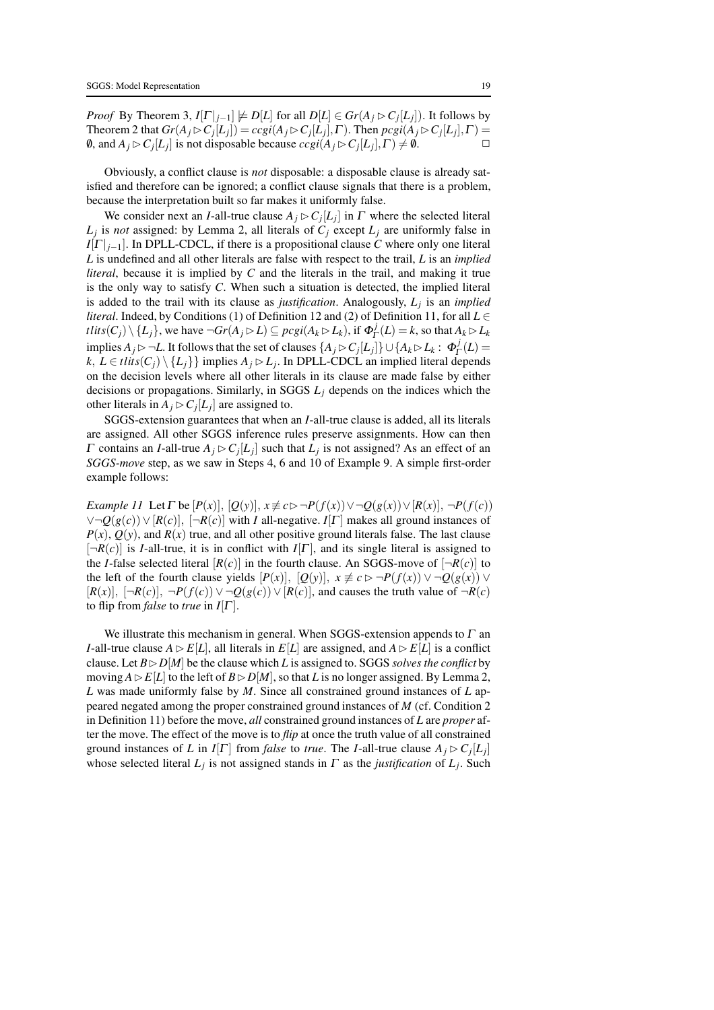*Proof* By Theorem 3,  $I[\Gamma|_{j-1}] \not\models D[L]$  for all  $D[L] \in Gr(A_j \triangleright C_j[L_j])$ . It follows by Theorem 2 that  $Gr(A_j \triangleright C_j[L_j]) = c cgi(A_j \triangleright C_j[L_j], \Gamma)$ . Then  $p cgi(A_j \triangleright C_j[L_j], \Gamma) =$ 0, and  $A_j \triangleright C_j[L_j]$  is not disposable because  $ccgi(A_j \triangleright C_j[L_j], \Gamma) \neq \emptyset$ .

Obviously, a conflict clause is *not* disposable: a disposable clause is already satisfied and therefore can be ignored; a conflict clause signals that there is a problem, because the interpretation built so far makes it uniformly false.

We consider next an *I*-all-true clause  $A_j \triangleright C_j[L_j]$  in  $\Gamma$  where the selected literal *Lj* is *not* assigned: by Lemma 2, all literals of *C<sup>j</sup>* except *L<sup>j</sup>* are uniformly false in  $I[\Gamma]_{i=1}$ . In DPLL-CDCL, if there is a propositional clause *C* where only one literal *L* is undefined and all other literals are false with respect to the trail, *L* is an *implied literal*, because it is implied by *C* and the literals in the trail, and making it true is the only way to satisfy *C*. When such a situation is detected, the implied literal is added to the trail with its clause as *justification*. Analogously, *L<sup>j</sup>* is an *implied literal*. Indeed, by Conditions (1) of Definition 12 and (2) of Definition 11, for all *L* ∈ *tlits*( $C_j$ )  $\setminus \{L_j\}$ , we have  $\neg Gr(A_j \rhd L) \subseteq pcgi(A_k \rhd L_k)$ , if  $\Phi_{\Gamma}^j(L) = k$ , so that  $A_k \rhd L_k$ implies  $A_j \rhd \neg L$ . It follows that the set of clauses  $\{A_j \rhd C_j[L_j]\} \cup \{A_k \rhd L_k : \Phi_{\Gamma}^j(L) = \emptyset\}$ *k*, *L* ∈ *tlits*( $C_j$ )  $\setminus$  {*L<sub>j</sub>*}} implies  $A_j$  ⊳ *L<sub>j</sub>*. In DPLL-CDCL an implied literal depends on the decision levels where all other literals in its clause are made false by either decisions or propagations. Similarly, in SGGS *L<sup>j</sup>* depends on the indices which the other literals in  $A_j \triangleright C_j[L_j]$  are assigned to.

SGGS-extension guarantees that when an *I*-all-true clause is added, all its literals are assigned. All other SGGS inference rules preserve assignments. How can then  $\Gamma$  contains an *I*-all-true  $A_j \triangleright C_j[L_j]$  such that  $L_j$  is not assigned? As an effect of an *SGGS-move* step, as we saw in Steps 4, 6 and 10 of Example 9. A simple first-order example follows:

*Example 11* Let  $\Gamma$  be  $[P(x)]$ ,  $[Q(y)]$ ,  $x \not\equiv c \triangleright \neg P(f(x)) \vee \neg Q(g(x)) \vee [R(x)]$ ,  $\neg P(f(c))$  $\lor$ ¬ $Q(g(c))$   $\lor$   $[R(c)]$ ,  $\lceil \neg R(c) \rceil$  with *I* all-negative. *I*[Γ] makes all ground instances of  $P(x)$ ,  $Q(y)$ , and  $R(x)$  true, and all other positive ground literals false. The last clause  $[\neg R(c)]$  is *I*-all-true, it is in conflict with *I*[Γ], and its single literal is assigned to the *I*-false selected literal  $[R(c)]$  in the fourth clause. An SGGS-move of  $[\neg R(c)]$  to the left of the fourth clause yields  $[P(x)], [Q(y)], x \not\equiv c \triangleright \neg P(f(x)) \vee \neg Q(g(x)) \vee$  $[ R(x) ], [¬R(c) ], ¬P(f(c)) ∨ ¬Q(g(c)) ∨ [R(c) ],$  and causes the truth value of  $¬R(c)$ to flip from *false* to *true* in *I*[<sup>Γ</sup> ].

We illustrate this mechanism in general. When SGGS-extension appends to  $\Gamma$  an *I*-all-true clause  $A \triangleright E[L]$ , all literals in  $E[L]$  are assigned, and  $A \triangleright E[L]$  is a conflict clause. Let  $B \triangleright D[M]$  be the clause which *L* is assigned to. SGGS *solves the conflict* by moving  $A \triangleright E[L]$  to the left of  $B \triangleright D[M]$ , so that *L* is no longer assigned. By Lemma 2, *L* was made uniformly false by *M*. Since all constrained ground instances of *L* appeared negated among the proper constrained ground instances of *M* (cf. Condition 2 in Definition 11) before the move, *all* constrained ground instances of *L* are *proper* after the move. The effect of the move is to *flip* at once the truth value of all constrained ground instances of *L* in *I*[*Γ*] from *false* to *true*. The *I*-all-true clause  $A_j \triangleright C_j[L_j]$ whose selected literal  $L_j$  is not assigned stands in  $\Gamma$  as the *justification* of  $L_j$ . Such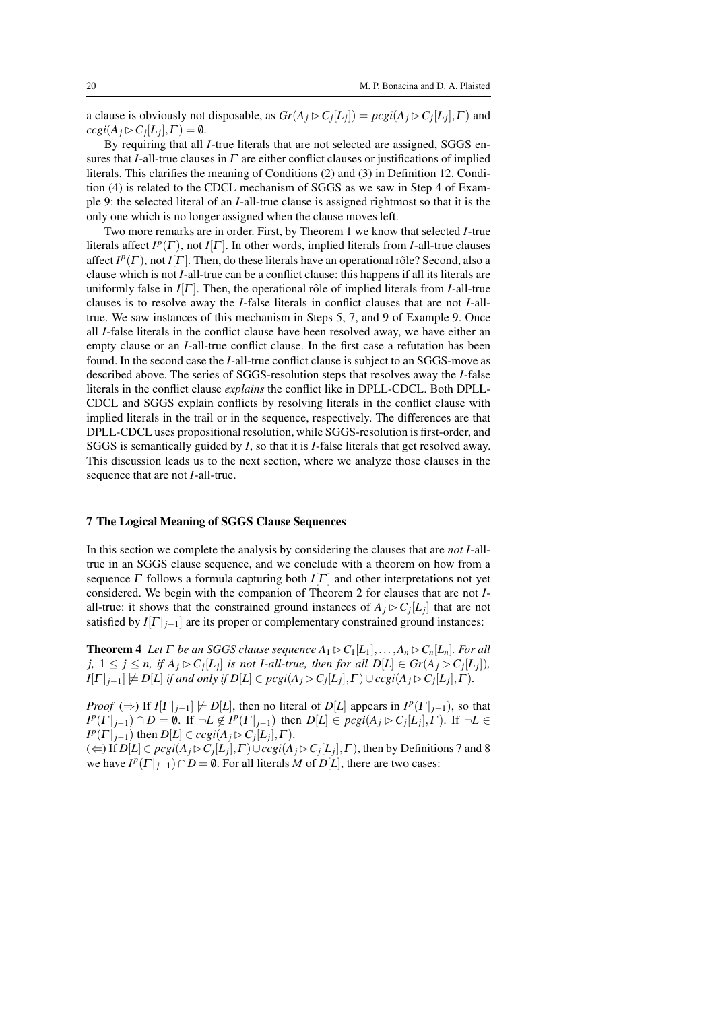a clause is obviously not disposable, as  $Gr(A_j \triangleright C_j[L_j]) = pcsj(A_j \triangleright C_j[L_j], \Gamma)$  and  $ccgi(A_j \triangleright C_j[L_j], \Gamma) = \emptyset.$ 

By requiring that all *I*-true literals that are not selected are assigned, SGGS ensures that *I*-all-true clauses in  $\Gamma$  are either conflict clauses or justifications of implied literals. This clarifies the meaning of Conditions (2) and (3) in Definition 12. Condition (4) is related to the CDCL mechanism of SGGS as we saw in Step 4 of Example 9: the selected literal of an *I*-all-true clause is assigned rightmost so that it is the only one which is no longer assigned when the clause moves left.

Two more remarks are in order. First, by Theorem 1 we know that selected *I*-true literals affect  $I^p(\Gamma)$ , not  $I[\Gamma]$ . In other words, implied literals from *I*-all-true clauses affect  $I^p(\Gamma)$ , not  $I[\Gamma]$ . Then, do these literals have an operational rôle? Second, also a clause which is not *I*-all-true can be a conflict clause: this happens if all its literals are uniformly false in  $I[\Gamma]$ . Then, the operational rôle of implied literals from *I*-all-true clauses is to resolve away the *I*-false literals in conflict clauses that are not *I*-alltrue. We saw instances of this mechanism in Steps 5, 7, and 9 of Example 9. Once all *I*-false literals in the conflict clause have been resolved away, we have either an empty clause or an *I*-all-true conflict clause. In the first case a refutation has been found. In the second case the *I*-all-true conflict clause is subject to an SGGS-move as described above. The series of SGGS-resolution steps that resolves away the *I*-false literals in the conflict clause *explains* the conflict like in DPLL-CDCL. Both DPLL-CDCL and SGGS explain conflicts by resolving literals in the conflict clause with implied literals in the trail or in the sequence, respectively. The differences are that DPLL-CDCL uses propositional resolution, while SGGS-resolution is first-order, and SGGS is semantically guided by *I*, so that it is *I*-false literals that get resolved away. This discussion leads us to the next section, where we analyze those clauses in the sequence that are not *I*-all-true.

# 7 The Logical Meaning of SGGS Clause Sequences

In this section we complete the analysis by considering the clauses that are *not I*-alltrue in an SGGS clause sequence, and we conclude with a theorem on how from a sequence  $\Gamma$  follows a formula capturing both  $I[\Gamma]$  and other interpretations not yet considered. We begin with the companion of Theorem 2 for clauses that are not *I*all-true: it shows that the constrained ground instances of  $A_j \triangleright C_j[L_j]$  that are not satisfied by  $I[\Gamma]_{i-1}$  are its proper or complementary constrained ground instances:

**Theorem 4** *Let*  $\Gamma$  *be an SGGS clause sequence*  $A_1 \triangleright C_1[L_1], \ldots, A_n \triangleright C_n[L_n]$ *. For all j*,  $1 \leq j \leq n$ , if  $A_j \triangleright C_j[L_j]$  is not *I-all-true, then for all*  $D[L] \in Gr(A_j \triangleright C_j[L_j])$ *,*  $I[\Gamma|_{j-1}] \not\models D[L]$  if and only if  $D[L] \in p cgi(A_j \triangleright C_j[L_j], \Gamma) \cup c cgi(A_j \triangleright C_j[L_j], \Gamma)$ .

*Proof* ( $\Rightarrow$ ) If *I*[ $\Gamma |_{j-1}$ ]  $\nvdash D[L]$ , then no literal of *D*[ $L$ ] appears in *I<sup>p</sup>*( $\Gamma |_{j-1}$ ), so that *I*<sup>*p*</sup>( $\Gamma$ |<sub>*j*−1</sub>) ∩ *D* = 0. If ¬*L* ∉ *I*<sup>*p*</sup>( $\Gamma$ |<sub>*j*−1</sub>) then *D*[*L*] ∈ *pcgi*(*A<sub><i>j*</sub> ⊵ *C<sub>j</sub>*[*L<sub>j</sub>*],*T*). If ¬*L* ∈  $I^p(\Gamma|_{j-1})$  then  $D[L] \in ccsi(A_j \triangleright C_j[L_j], \Gamma)$ .

 $(\Leftarrow)$  If  $D[L] \in p cgi(A_j \rhd C_j[L_j], \Gamma) \cup c cgi(A_j \rhd C_j[L_j], \Gamma)$ , then by Definitions 7 and 8 we have  $I^p(\Gamma|_{j-1}) \cap D = \emptyset$ . For all literals *M* of *D*[*L*], there are two cases: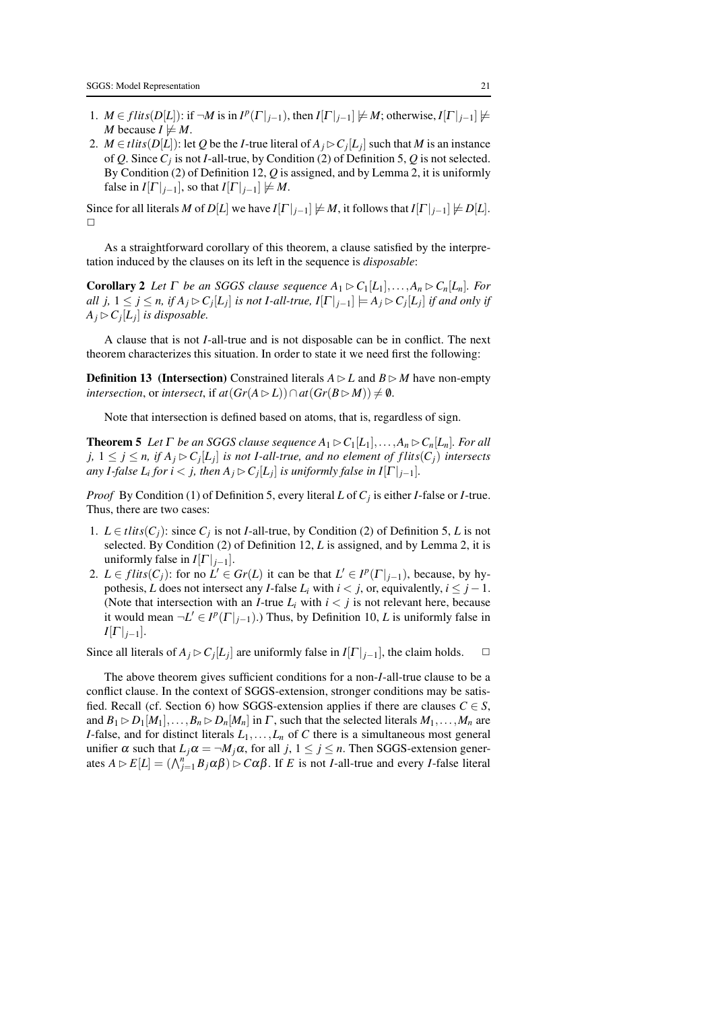- 1.  $M \in \text{flits}(D[L])$ : if  $\neg M$  is in  $I^p(\Gamma|_{j-1})$ , then  $I[\Gamma|_{j-1}] \not\models M$ ; otherwise,  $I[\Gamma|_{j-1}] \not\models$ *M* because  $I \not\models M$ .
- 2.  $M \in \text{flits}(D[L])$ : let Q be the *I*-true literal of  $A_j \triangleright C_j[L_j]$  such that M is an instance of *Q*. Since *C<sup>j</sup>* is not *I*-all-true, by Condition (2) of Definition 5, *Q* is not selected. By Condition (2) of Definition 12, *Q* is assigned, and by Lemma 2, it is uniformly false in  $I[\Gamma]_{i-1}$ , so that  $I[\Gamma]_{i-1} \not\models M$ .

Since for all literals *M* of *D*[*L*] we have  $I[\Gamma]_{i-1}$   $\not\models M$ , it follows that  $I[\Gamma]_{i-1}$   $\not\models D[L]$ .  $\Box$ 

As a straightforward corollary of this theorem, a clause satisfied by the interpretation induced by the clauses on its left in the sequence is *disposable*:

**Corollary 2** Let  $\Gamma$  be an SGGS clause sequence  $A_1 \triangleright C_1[L_1],...,A_n \triangleright C_n[L_n]$ *. For all*  $j, 1 \leq j \leq n$ , if  $A_j \triangleright C_j[L_j]$  is not I-all-true,  $I[\Gamma|_{j-1}] \models A_j \triangleright C_j[L_j]$  if and only if  $A_j \triangleright C_j[L_j]$  *is disposable.* 

A clause that is not *I*-all-true and is not disposable can be in conflict. The next theorem characterizes this situation. In order to state it we need first the following:

**Definition 13** (Intersection) Constrained literals  $A \triangleright L$  and  $B \triangleright M$  have non-empty *intersection*, or *intersect*, if  $at(Gr(A \triangleright L)) \cap at(Gr(B \triangleright M)) \neq \emptyset$ .

Note that intersection is defined based on atoms, that is, regardless of sign.

**Theorem 5** *Let*  $\Gamma$  *be an SGGS clause sequence*  $A_1 \triangleright C_1[L_1], \ldots, A_n \triangleright C_n[L_n]$ *. For all j,*  $1 \leq j \leq n$ , if  $A_j \triangleright C_j[L_j]$  is not I-all-true, and no element of flits $(C_j)$  intersects *any I-false L<sub>i</sub>* for  $i < j$ , then  $A_j \triangleright C_j[L_j]$  is uniformly false in  $I[\Gamma]_{j-1}$ .

*Proof* By Condition (1) of Definition 5, every literal *L* of *C<sup>j</sup>* is either *I*-false or *I*-true. Thus, there are two cases:

- 1. *L* ∈ *tlits*( $C_j$ ): since  $C_j$  is not *I*-all-true, by Condition (2) of Definition 5, *L* is not selected. By Condition (2) of Definition 12, *L* is assigned, and by Lemma 2, it is uniformly false in  $I[\Gamma]_{i-1}$ .
- 2.  $L \in \text{flits}(C_j)$ : for no  $L' \in \text{Gr}(L)$  it can be that  $L' \in \text{I}^p(\Gamma|_{j-1})$ , because, by hypothesis, *L* does not intersect any *I*-false  $L_i$  with  $i < j$ , or, equivalently,  $i < j - 1$ . (Note that intersection with an *I*-true  $L_i$  with  $i < j$  is not relevant here, because it would mean  $\neg L' \in I^p(\Gamma|_{j-1})$ .) Thus, by Definition 10, *L* is uniformly false in  $I[\Gamma]_{j-1}$ .

Since all literals of  $A_j \triangleright C_j[L_j]$  are uniformly false in  $I[\Gamma]_{j-1}$ , the claim holds.  $\Box$ 

The above theorem gives sufficient conditions for a non-*I*-all-true clause to be a conflict clause. In the context of SGGS-extension, stronger conditions may be satisfied. Recall (cf. Section 6) how SGGS-extension applies if there are clauses  $C \in S$ , and  $B_1 \triangleright D_1[M_1], \ldots, B_n \triangleright D_n[M_n]$  in  $\Gamma$ , such that the selected literals  $M_1, \ldots, M_n$  are *I*-false, and for distinct literals  $L_1, \ldots, L_n$  of *C* there is a simultaneous most general unifier  $\alpha$  such that  $L_i \alpha = \neg M_i \alpha$ , for all  $j, 1 \leq j \leq n$ . Then SGGS-extension generates  $A \triangleright E[L] = (\bigwedge_{j=1}^{n} B_j \alpha \beta) \triangleright C \alpha \beta$ . If *E* is not *I*-all-true and every *I*-false literal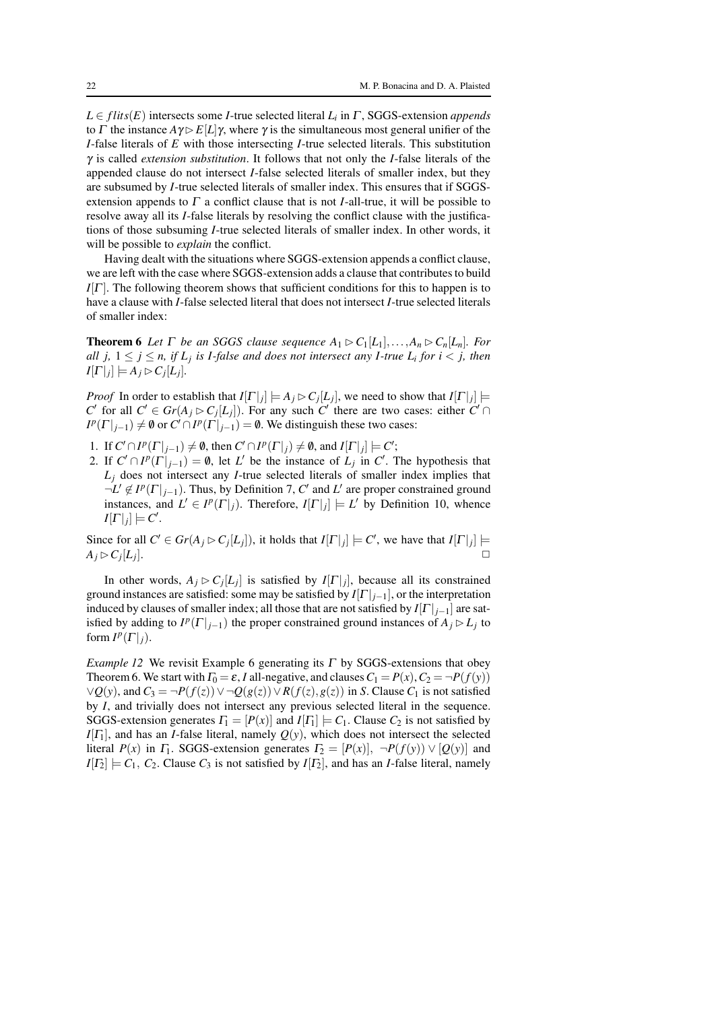*L* ∈ *f lits*(*E*) intersects some *I*-true selected literal *L<sup>i</sup>* in <sup>Γ</sup> , SGGS-extension *appends* to Γ the instance  $A\gamma \triangleright E[L]\gamma$ , where  $\gamma$  is the simultaneous most general unifier of the *I*-false literals of *E* with those intersecting *I*-true selected literals. This substitution γ is called *extension substitution*. It follows that not only the *I*-false literals of the appended clause do not intersect *I*-false selected literals of smaller index, but they are subsumed by *I*-true selected literals of smaller index. This ensures that if SGGSextension appends to  $\Gamma$  a conflict clause that is not *I*-all-true, it will be possible to resolve away all its *I*-false literals by resolving the conflict clause with the justifications of those subsuming *I*-true selected literals of smaller index. In other words, it will be possible to *explain* the conflict.

Having dealt with the situations where SGGS-extension appends a conflict clause, we are left with the case where SGGS-extension adds a clause that contributes to build  $I[\Gamma]$ . The following theorem shows that sufficient conditions for this to happen is to have a clause with *I*-false selected literal that does not intersect *I*-true selected literals of smaller index:

**Theorem 6** Let  $\Gamma$  be an SGGS clause sequence  $A_1 \triangleright C_1[L_1],...,A_n \triangleright C_n[L_n]$ *. For all*  $j$ ,  $1 \leq j \leq n$ , if  $L_j$  is *I-false and does not intersect any I-true*  $L_i$  for  $i < j$ , then  $I[\Gamma|_j] \models A_j \triangleright C_j[L_j].$ 

*Proof* In order to establish that  $I[\Gamma|_j] \models A_j \triangleright C_j[L_j]$ , we need to show that  $I[\Gamma|_j] \models$ *C*<sup> $'$ </sup> for all *C*<sup> $'$ </sup> ∈ *Gr*(*A<sub>j</sub>* ⊳ *C<sub>j</sub>*[*L<sub>j</sub>*]). For any such *C*<sup> $'$ </sup> there are two cases: either *C*<sup> $'$ </sup> ∩  $I^p(\Gamma|_{j-1}) \neq \emptyset$  or  $C' \cap I^p(\Gamma|_{j-1}) = \emptyset$ . We distinguish these two cases:

- 1. If  $C' \cap I^p(\Gamma|_{j-1}) \neq \emptyset$ , then  $C' \cap I^p(\Gamma|_j) \neq \emptyset$ , and  $I[\Gamma|_j] \models C'$ ;
- 2. If  $C' \cap I^p(\Gamma|_{j-1}) = \emptyset$ , let *L'* be the instance of *L<sub>j</sub>* in *C'*. The hypothesis that  $L_j$  does not intersect any *I*-true selected literals of smaller index implies that  $\neg L' \notin I^p(\Gamma|_{j-1})$ . Thus, by Definition 7, C' and L' are proper constrained ground instances, and  $L' \in I^p(\Gamma|_j)$ . Therefore,  $I[\Gamma|_j] \models L'$  by Definition 10, whence  $I[\Gamma|_j] \models C'.$

Since for all  $C' \in Gr(A_j \triangleright C_j[L_j])$ , it holds that  $I[\Gamma|_j] \models C'$ , we have that  $I[\Gamma|_j] \models C'$  $A_j \triangleright C_j [L_j]$ ].<br>[,

In other words,  $A_j \triangleright C_j[L_j]$  is satisfied by  $I[\Gamma|_j]$ , because all its constrained ground instances are satisfied: some may be satisfied by  $I[\Gamma]_{i-1}$ , or the interpretation induced by clauses of smaller index; all those that are not satisfied by  $I[\Gamma]_{i-1}$  are satisfied by adding to  $I^p(\Gamma|_{j-1})$  the proper constrained ground instances of  $A_j \triangleright L_j$  to form  $I^p(\Gamma|_j)$ .

*Example 12* We revisit Example 6 generating its  $\Gamma$  by SGGS-extensions that obey Theorem 6. We start with  $\Gamma_0 = \varepsilon$ , *I* all-negative, and clauses  $C_1 = P(x)$ ,  $C_2 = \neg P(f(y))$  $∨Q(y)$ , and  $C_3 = ¬P(f(z)) ∨ ¬Q(g(z)) ∨ R(f(z), g(z))$  in *S*. Clause  $C_1$  is not satisfied by *I*, and trivially does not intersect any previous selected literal in the sequence. SGGS-extension generates  $\Gamma_1 = [P(x)]$  and  $I[\Gamma_1] \models C_1$ . Clause  $C_2$  is not satisfied by  $I[T_1]$ , and has an *I*-false literal, namely  $Q(y)$ , which does not intersect the selected literal  $P(x)$  in  $\Gamma_1$ . SGGS-extension generates  $\Gamma_2 = [P(x)], \neg P(f(y)) \vee [Q(y)]$  and  $I[T_2] \models C_1$ ,  $C_2$ . Clause  $C_3$  is not satisfied by  $I[T_2]$ , and has an *I*-false literal, namely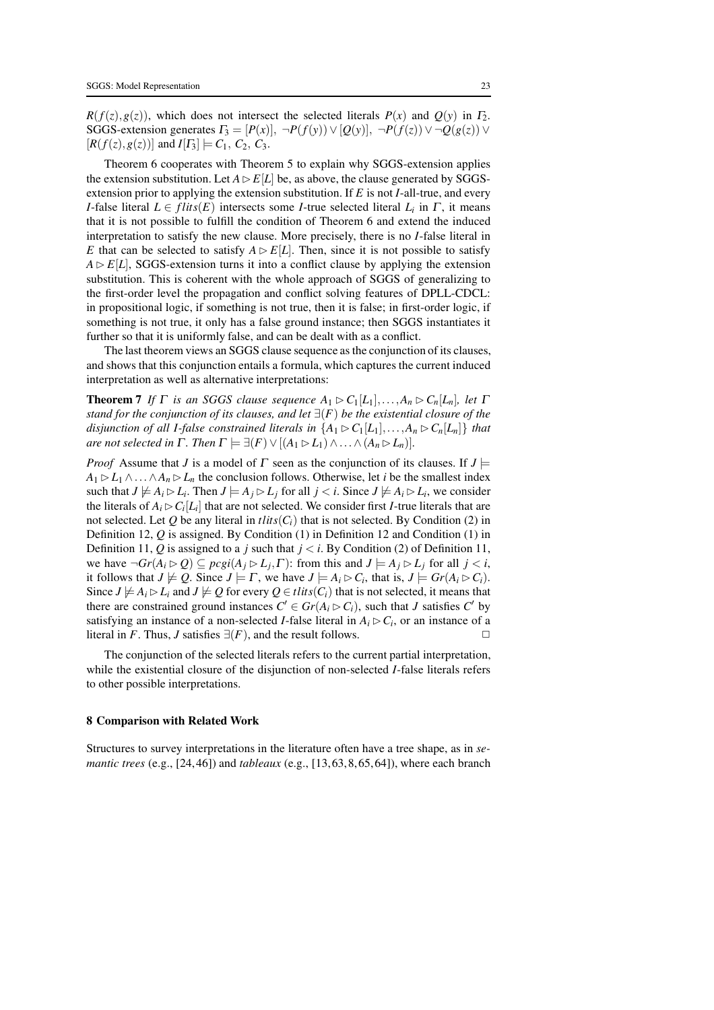$R(f(z), g(z))$ , which does not intersect the selected literals  $P(x)$  and  $Q(y)$  in  $\Gamma_2$ . SGGS-extension generates  $\Gamma_3 = [P(x)], \neg P(f(y)) \vee [Q(y)], \neg P(f(z)) \vee \neg Q(g(z)) \vee$  $[R(f(z), g(z))]$  and  $I[T_3] \models C_1, C_2, C_3$ .

Theorem 6 cooperates with Theorem 5 to explain why SGGS-extension applies the extension substitution. Let  $A \triangleright E[L]$  be, as above, the clause generated by SGGSextension prior to applying the extension substitution. If *E* is not *I*-all-true, and every *I*-false literal  $L \in \text{flits}(E)$  intersects some *I*-true selected literal  $L_i$  in  $\Gamma$ , it means that it is not possible to fulfill the condition of Theorem 6 and extend the induced interpretation to satisfy the new clause. More precisely, there is no *I*-false literal in *E* that can be selected to satisfy  $A \triangleright E[L]$ . Then, since it is not possible to satisfy  $A \triangleright E[L]$ , SGGS-extension turns it into a conflict clause by applying the extension substitution. This is coherent with the whole approach of SGGS of generalizing to the first-order level the propagation and conflict solving features of DPLL-CDCL: in propositional logic, if something is not true, then it is false; in first-order logic, if something is not true, it only has a false ground instance; then SGGS instantiates it further so that it is uniformly false, and can be dealt with as a conflict.

The last theorem views an SGGS clause sequence as the conjunction of its clauses, and shows that this conjunction entails a formula, which captures the current induced interpretation as well as alternative interpretations:

**Theorem 7** *If*  $\Gamma$  *is an SGGS clause sequence*  $A_1 \triangleright C_1[L_1],...,A_n \triangleright C_n[L_n]$ *, let*  $\Gamma$ *stand for the conjunction of its clauses, and let* ∃(*F*) *be the existential closure of the disjunction of all I-false constrained literals in*  $\{A_1 \triangleright C_1[L_1], \ldots, A_n \triangleright C_n[L_n]\}$  *that are not selected in*  $\Gamma$ *. Then*  $\Gamma \models \exists (F) \vee [(A_1 \triangleright L_1) \wedge ... \wedge (A_n \triangleright L_n)]$ .

*Proof* Assume that *J* is a model of  $\Gamma$  seen as the conjunction of its clauses. If  $J \models$  $A_1 \triangleright L_1 \wedge \ldots \wedge A_n \triangleright L_n$  the conclusion follows. Otherwise, let *i* be the smallest index such that  $J \not\models A_i \rhd L_i$ . Then  $J \models A_j \rhd L_j$  for all  $j < i$ . Since  $J \not\models A_i \rhd L_i$ , we consider the literals of  $A_i \triangleright C_i[L_i]$  that are not selected. We consider first *I*-true literals that are not selected. Let Q be any literal in  $tlits(C_i)$  that is not selected. By Condition (2) in Definition 12, *Q* is assigned. By Condition (1) in Definition 12 and Condition (1) in Definition 11, *Q* is assigned to a *j* such that  $j < i$ . By Condition (2) of Definition 11, we have  $\neg Gr(A_i \triangleright Q) \subseteq \text{pcgi}(A_j \triangleright L_j, \Gamma)$ : from this and  $J \models A_j \triangleright L_j$  for all  $j < i$ , it follows that  $J \not\models Q$ . Since  $J \models \Gamma$ , we have  $J \models A_i \triangleright C_i$ , that is,  $J \models Gr(A_i \triangleright C_i)$ . Since  $J \not\models A_i \rhd L_i$  and  $J \not\models Q$  for every  $Q \in *tlits*(C_i)$  that is not selected, it means that there are constrained ground instances  $C' \in Gr(A_i \triangleright C_i)$ , such that *J* satisfies  $C'$  by satisfying an instance of a non-selected *I*-false literal in  $A_i \triangleright C_i$ , or an instance of a literal in *F*. Thus, *J* satisfies  $\exists$ (*F*), and the result follows.  $□$ 

The conjunction of the selected literals refers to the current partial interpretation, while the existential closure of the disjunction of non-selected *I*-false literals refers to other possible interpretations.

#### 8 Comparison with Related Work

Structures to survey interpretations in the literature often have a tree shape, as in *semantic trees* (e.g., [24,46]) and *tableaux* (e.g., [13,63,8,65,64]), where each branch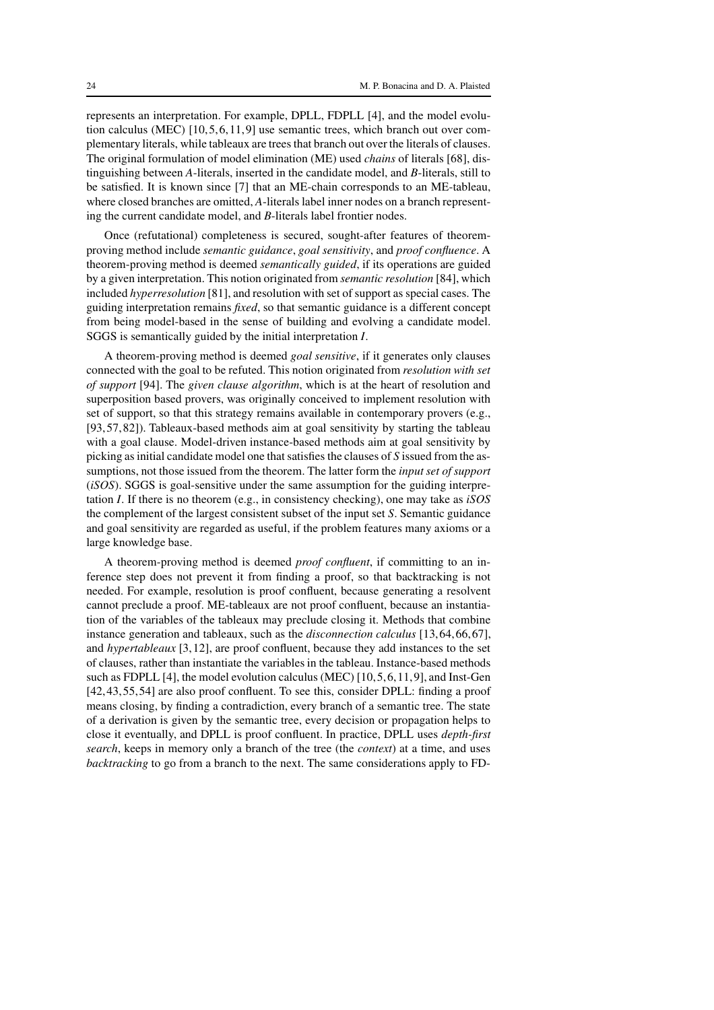represents an interpretation. For example, DPLL, FDPLL [4], and the model evolution calculus (MEC) [10,5,6,11,9] use semantic trees, which branch out over complementary literals, while tableaux are trees that branch out over the literals of clauses. The original formulation of model elimination (ME) used *chains* of literals [68], distinguishing between *A*-literals, inserted in the candidate model, and *B*-literals, still to be satisfied. It is known since [7] that an ME-chain corresponds to an ME-tableau, where closed branches are omitted, *A*-literals label inner nodes on a branch representing the current candidate model, and *B*-literals label frontier nodes.

Once (refutational) completeness is secured, sought-after features of theoremproving method include *semantic guidance*, *goal sensitivity*, and *proof confluence*. A theorem-proving method is deemed *semantically guided*, if its operations are guided by a given interpretation. This notion originated from *semantic resolution* [84], which included *hyperresolution* [81], and resolution with set of support as special cases. The guiding interpretation remains *fixed*, so that semantic guidance is a different concept from being model-based in the sense of building and evolving a candidate model. SGGS is semantically guided by the initial interpretation *I*.

A theorem-proving method is deemed *goal sensitive*, if it generates only clauses connected with the goal to be refuted. This notion originated from *resolution with set of support* [94]. The *given clause algorithm*, which is at the heart of resolution and superposition based provers, was originally conceived to implement resolution with set of support, so that this strategy remains available in contemporary provers (e.g., [93,57,82]). Tableaux-based methods aim at goal sensitivity by starting the tableau with a goal clause. Model-driven instance-based methods aim at goal sensitivity by picking as initial candidate model one that satisfies the clauses of *S* issued from the assumptions, not those issued from the theorem. The latter form the *input set of support* (*iSOS*). SGGS is goal-sensitive under the same assumption for the guiding interpretation *I*. If there is no theorem (e.g., in consistency checking), one may take as *iSOS* the complement of the largest consistent subset of the input set *S*. Semantic guidance and goal sensitivity are regarded as useful, if the problem features many axioms or a large knowledge base.

A theorem-proving method is deemed *proof confluent*, if committing to an inference step does not prevent it from finding a proof, so that backtracking is not needed. For example, resolution is proof confluent, because generating a resolvent cannot preclude a proof. ME-tableaux are not proof confluent, because an instantiation of the variables of the tableaux may preclude closing it. Methods that combine instance generation and tableaux, such as the *disconnection calculus* [13,64,66,67], and *hypertableaux* [3,12], are proof confluent, because they add instances to the set of clauses, rather than instantiate the variables in the tableau. Instance-based methods such as FDPLL [4], the model evolution calculus (MEC) [10,5,6,11,9], and Inst-Gen [42,43,55,54] are also proof confluent. To see this, consider DPLL: finding a proof means closing, by finding a contradiction, every branch of a semantic tree. The state of a derivation is given by the semantic tree, every decision or propagation helps to close it eventually, and DPLL is proof confluent. In practice, DPLL uses *depth-first search*, keeps in memory only a branch of the tree (the *context*) at a time, and uses *backtracking* to go from a branch to the next. The same considerations apply to FD-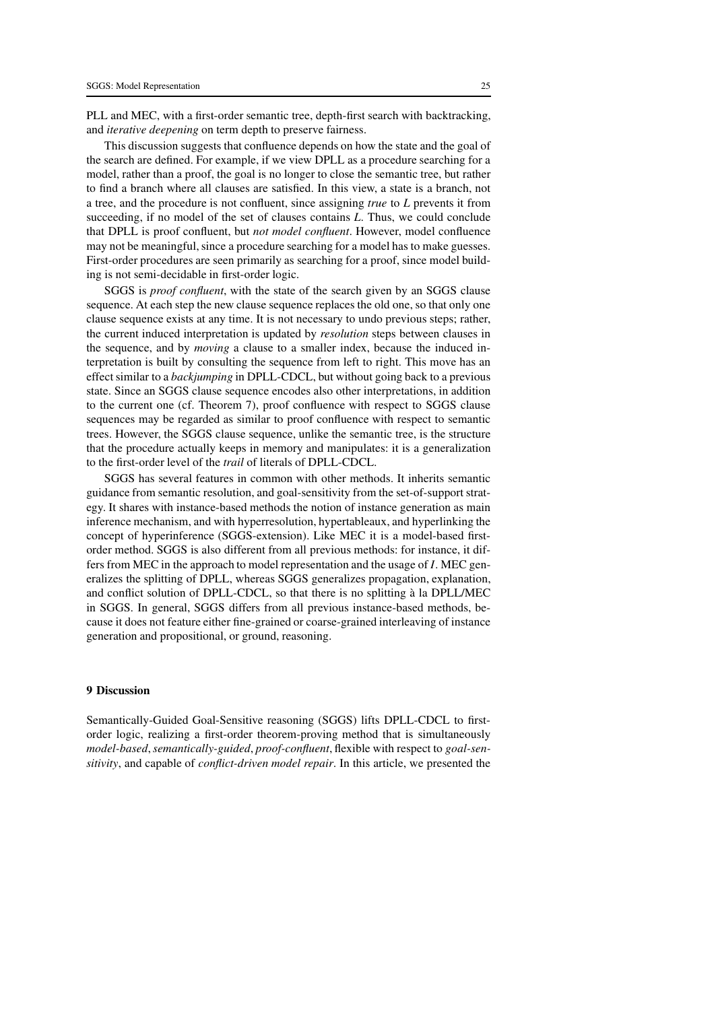PLL and MEC, with a first-order semantic tree, depth-first search with backtracking, and *iterative deepening* on term depth to preserve fairness.

This discussion suggests that confluence depends on how the state and the goal of the search are defined. For example, if we view DPLL as a procedure searching for a model, rather than a proof, the goal is no longer to close the semantic tree, but rather to find a branch where all clauses are satisfied. In this view, a state is a branch, not a tree, and the procedure is not confluent, since assigning *true* to *L* prevents it from succeeding, if no model of the set of clauses contains *L*. Thus, we could conclude that DPLL is proof confluent, but *not model confluent*. However, model confluence may not be meaningful, since a procedure searching for a model has to make guesses. First-order procedures are seen primarily as searching for a proof, since model building is not semi-decidable in first-order logic.

SGGS is *proof confluent*, with the state of the search given by an SGGS clause sequence. At each step the new clause sequence replaces the old one, so that only one clause sequence exists at any time. It is not necessary to undo previous steps; rather, the current induced interpretation is updated by *resolution* steps between clauses in the sequence, and by *moving* a clause to a smaller index, because the induced interpretation is built by consulting the sequence from left to right. This move has an effect similar to a *backjumping* in DPLL-CDCL, but without going back to a previous state. Since an SGGS clause sequence encodes also other interpretations, in addition to the current one (cf. Theorem 7), proof confluence with respect to SGGS clause sequences may be regarded as similar to proof confluence with respect to semantic trees. However, the SGGS clause sequence, unlike the semantic tree, is the structure that the procedure actually keeps in memory and manipulates: it is a generalization to the first-order level of the *trail* of literals of DPLL-CDCL.

SGGS has several features in common with other methods. It inherits semantic guidance from semantic resolution, and goal-sensitivity from the set-of-support strategy. It shares with instance-based methods the notion of instance generation as main inference mechanism, and with hyperresolution, hypertableaux, and hyperlinking the concept of hyperinference (SGGS-extension). Like MEC it is a model-based firstorder method. SGGS is also different from all previous methods: for instance, it differs from MEC in the approach to model representation and the usage of *I*. MEC generalizes the splitting of DPLL, whereas SGGS generalizes propagation, explanation, and conflict solution of DPLL-CDCL, so that there is no splitting à la DPLL/MEC in SGGS. In general, SGGS differs from all previous instance-based methods, because it does not feature either fine-grained or coarse-grained interleaving of instance generation and propositional, or ground, reasoning.

# 9 Discussion

Semantically-Guided Goal-Sensitive reasoning (SGGS) lifts DPLL-CDCL to firstorder logic, realizing a first-order theorem-proving method that is simultaneously *model-based*,*semantically-guided*, *proof-confluent*, flexible with respect to *goal-sensitivity*, and capable of *conflict-driven model repair*. In this article, we presented the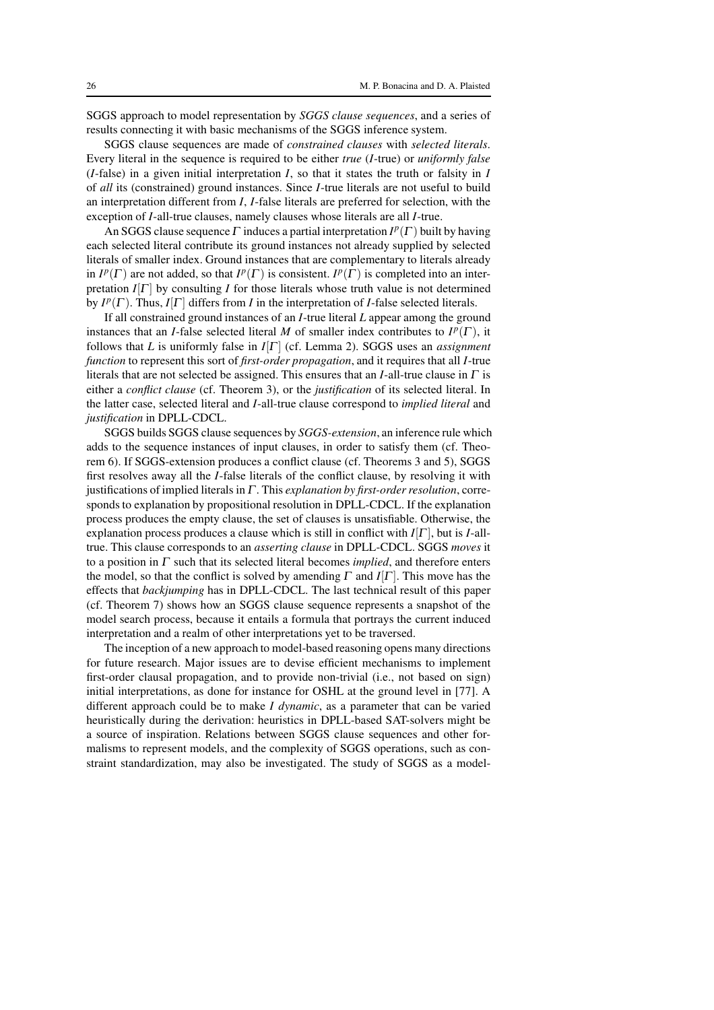SGGS approach to model representation by *SGGS clause sequences*, and a series of results connecting it with basic mechanisms of the SGGS inference system.

SGGS clause sequences are made of *constrained clauses* with *selected literals*. Every literal in the sequence is required to be either *true* (*I*-true) or *uniformly false* (*I*-false) in a given initial interpretation *I*, so that it states the truth or falsity in *I* of *all* its (constrained) ground instances. Since *I*-true literals are not useful to build an interpretation different from *I*, *I*-false literals are preferred for selection, with the exception of *I*-all-true clauses, namely clauses whose literals are all *I*-true.

An SGGS clause sequence  $\Gamma$  induces a partial interpretation  $I^p(\Gamma)$  built by having each selected literal contribute its ground instances not already supplied by selected literals of smaller index. Ground instances that are complementary to literals already in  $I^p(\Gamma)$  are not added, so that  $I^p(\Gamma)$  is consistent.  $I^p(\Gamma)$  is completed into an interpretation  $I[\Gamma]$  by consulting *I* for those literals whose truth value is not determined by  $I^p(\Gamma)$ . Thus,  $I[\Gamma]$  differs from *I* in the interpretation of *I*-false selected literals.

If all constrained ground instances of an *I*-true literal *L* appear among the ground instances that an *I*-false selected literal *M* of smaller index contributes to  $I^p(\Gamma)$ , it follows that *L* is uniformly false in  $I[\Gamma]$  (cf. Lemma 2). SGGS uses an *assignment function* to represent this sort of *first-order propagation*, and it requires that all *I*-true literals that are not selected be assigned. This ensures that an *I*-all-true clause in <sup>Γ</sup> is either a *conflict clause* (cf. Theorem 3), or the *justification* of its selected literal. In the latter case, selected literal and *I*-all-true clause correspond to *implied literal* and *justification* in DPLL-CDCL.

SGGS builds SGGS clause sequences by *SGGS-extension*, an inference rule which adds to the sequence instances of input clauses, in order to satisfy them (cf. Theorem 6). If SGGS-extension produces a conflict clause (cf. Theorems 3 and 5), SGGS first resolves away all the *I*-false literals of the conflict clause, by resolving it with justifications of implied literals in <sup>Γ</sup> . This *explanation by first-order resolution*, corresponds to explanation by propositional resolution in DPLL-CDCL. If the explanation process produces the empty clause, the set of clauses is unsatisfiable. Otherwise, the explanation process produces a clause which is still in conflict with *I*[<sup>Γ</sup> ], but is *I*-alltrue. This clause corresponds to an *asserting clause* in DPLL-CDCL. SGGS *moves* it to a position in <sup>Γ</sup> such that its selected literal becomes *implied*, and therefore enters the model, so that the conflict is solved by amending  $\Gamma$  and  $I[\Gamma]$ . This move has the effects that *backjumping* has in DPLL-CDCL. The last technical result of this paper (cf. Theorem 7) shows how an SGGS clause sequence represents a snapshot of the model search process, because it entails a formula that portrays the current induced interpretation and a realm of other interpretations yet to be traversed.

The inception of a new approach to model-based reasoning opens many directions for future research. Major issues are to devise efficient mechanisms to implement first-order clausal propagation, and to provide non-trivial (i.e., not based on sign) initial interpretations, as done for instance for OSHL at the ground level in [77]. A different approach could be to make *I dynamic*, as a parameter that can be varied heuristically during the derivation: heuristics in DPLL-based SAT-solvers might be a source of inspiration. Relations between SGGS clause sequences and other formalisms to represent models, and the complexity of SGGS operations, such as constraint standardization, may also be investigated. The study of SGGS as a model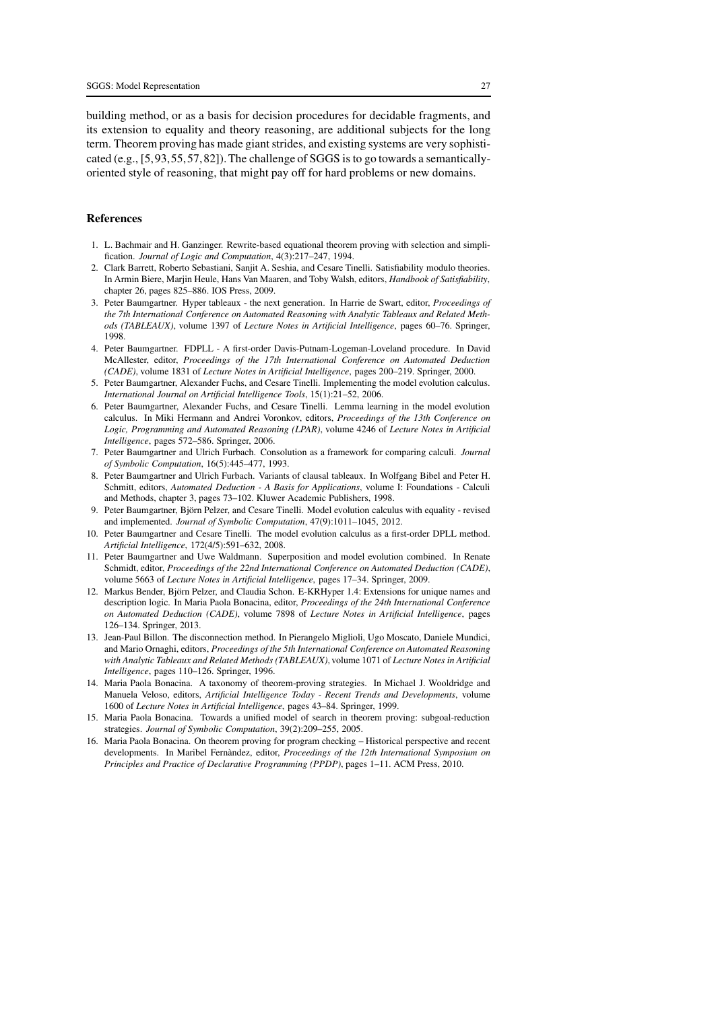building method, or as a basis for decision procedures for decidable fragments, and its extension to equality and theory reasoning, are additional subjects for the long term. Theorem proving has made giant strides, and existing systems are very sophisticated (e.g., [5,93,55,57,82]). The challenge of SGGS is to go towards a semanticallyoriented style of reasoning, that might pay off for hard problems or new domains.

# References

- 1. L. Bachmair and H. Ganzinger. Rewrite-based equational theorem proving with selection and simplification. *Journal of Logic and Computation*, 4(3):217–247, 1994.
- 2. Clark Barrett, Roberto Sebastiani, Sanjit A. Seshia, and Cesare Tinelli. Satisfiability modulo theories. In Armin Biere, Marjin Heule, Hans Van Maaren, and Toby Walsh, editors, *Handbook of Satisfiability*, chapter 26, pages 825–886. IOS Press, 2009.
- 3. Peter Baumgartner. Hyper tableaux the next generation. In Harrie de Swart, editor, *Proceedings of the 7th International Conference on Automated Reasoning with Analytic Tableaux and Related Methods (TABLEAUX)*, volume 1397 of *Lecture Notes in Artificial Intelligence*, pages 60–76. Springer, 1998.
- 4. Peter Baumgartner. FDPLL A first-order Davis-Putnam-Logeman-Loveland procedure. In David McAllester, editor, *Proceedings of the 17th International Conference on Automated Deduction (CADE)*, volume 1831 of *Lecture Notes in Artificial Intelligence*, pages 200–219. Springer, 2000.
- 5. Peter Baumgartner, Alexander Fuchs, and Cesare Tinelli. Implementing the model evolution calculus. *International Journal on Artificial Intelligence Tools*, 15(1):21–52, 2006.
- 6. Peter Baumgartner, Alexander Fuchs, and Cesare Tinelli. Lemma learning in the model evolution calculus. In Miki Hermann and Andrei Voronkov, editors, *Proceedings of the 13th Conference on Logic, Programming and Automated Reasoning (LPAR)*, volume 4246 of *Lecture Notes in Artificial Intelligence*, pages 572–586. Springer, 2006.
- 7. Peter Baumgartner and Ulrich Furbach. Consolution as a framework for comparing calculi. *Journal of Symbolic Computation*, 16(5):445–477, 1993.
- 8. Peter Baumgartner and Ulrich Furbach. Variants of clausal tableaux. In Wolfgang Bibel and Peter H. Schmitt, editors, *Automated Deduction - A Basis for Applications*, volume I: Foundations - Calculi and Methods, chapter 3, pages 73–102. Kluwer Academic Publishers, 1998.
- 9. Peter Baumgartner, Björn Pelzer, and Cesare Tinelli. Model evolution calculus with equality revised and implemented. *Journal of Symbolic Computation*, 47(9):1011–1045, 2012.
- 10. Peter Baumgartner and Cesare Tinelli. The model evolution calculus as a first-order DPLL method. *Artificial Intelligence*, 172(4/5):591–632, 2008.
- 11. Peter Baumgartner and Uwe Waldmann. Superposition and model evolution combined. In Renate Schmidt, editor, *Proceedings of the 22nd International Conference on Automated Deduction (CADE)*, volume 5663 of *Lecture Notes in Artificial Intelligence*, pages 17–34. Springer, 2009.
- 12. Markus Bender, Björn Pelzer, and Claudia Schon. E-KRHyper 1.4: Extensions for unique names and description logic. In Maria Paola Bonacina, editor, *Proceedings of the 24th International Conference on Automated Deduction (CADE)*, volume 7898 of *Lecture Notes in Artificial Intelligence*, pages 126–134. Springer, 2013.
- 13. Jean-Paul Billon. The disconnection method. In Pierangelo Miglioli, Ugo Moscato, Daniele Mundici, and Mario Ornaghi, editors, *Proceedings of the 5th International Conference on Automated Reasoning with Analytic Tableaux and Related Methods (TABLEAUX)*, volume 1071 of *Lecture Notes in Artificial Intelligence*, pages 110–126. Springer, 1996.
- 14. Maria Paola Bonacina. A taxonomy of theorem-proving strategies. In Michael J. Wooldridge and Manuela Veloso, editors, *Artificial Intelligence Today - Recent Trends and Developments*, volume 1600 of *Lecture Notes in Artificial Intelligence*, pages 43–84. Springer, 1999.
- 15. Maria Paola Bonacina. Towards a unified model of search in theorem proving: subgoal-reduction strategies. *Journal of Symbolic Computation*, 39(2):209–255, 2005.
- 16. Maria Paola Bonacina. On theorem proving for program checking Historical perspective and recent developments. In Maribel Fernàndez, editor, Proceedings of the 12th International Symposium on *Principles and Practice of Declarative Programming (PPDP)*, pages 1–11. ACM Press, 2010.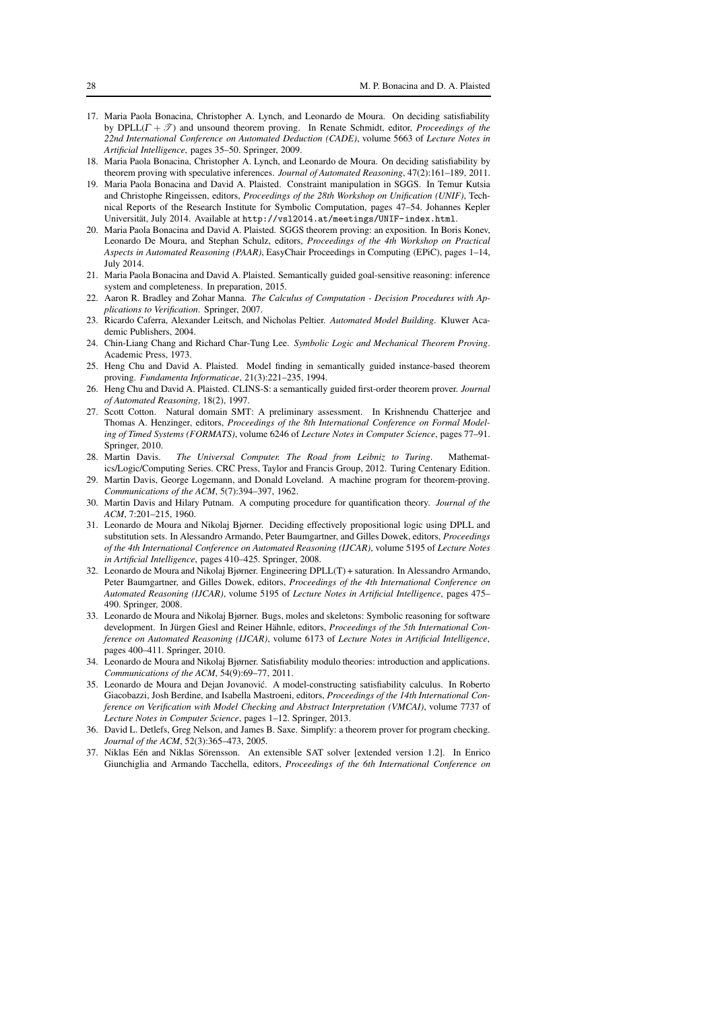- 17. Maria Paola Bonacina, Christopher A. Lynch, and Leonardo de Moura. On deciding satisfiability by DPLL(Γ +  $\mathcal{T}$ ) and unsound theorem proving. In Renate Schmidt, editor, *Proceedings of the 22nd International Conference on Automated Deduction (CADE)*, volume 5663 of *Lecture Notes in Artificial Intelligence*, pages 35–50. Springer, 2009.
- 18. Maria Paola Bonacina, Christopher A. Lynch, and Leonardo de Moura. On deciding satisfiability by theorem proving with speculative inferences. *Journal of Automated Reasoning*, 47(2):161–189, 2011.
- 19. Maria Paola Bonacina and David A. Plaisted. Constraint manipulation in SGGS. In Temur Kutsia and Christophe Ringeissen, editors, *Proceedings of the 28th Workshop on Unification (UNIF)*, Technical Reports of the Research Institute for Symbolic Computation, pages 47–54. Johannes Kepler Universität, July 2014. Available at http://vsl2014.at/meetings/UNIF-index.html.
- 20. Maria Paola Bonacina and David A. Plaisted. SGGS theorem proving: an exposition. In Boris Konev, Leonardo De Moura, and Stephan Schulz, editors, *Proceedings of the 4th Workshop on Practical Aspects in Automated Reasoning (PAAR)*, EasyChair Proceedings in Computing (EPiC), pages 1–14, July 2014.
- 21. Maria Paola Bonacina and David A. Plaisted. Semantically guided goal-sensitive reasoning: inference system and completeness. In preparation, 2015.
- 22. Aaron R. Bradley and Zohar Manna. *The Calculus of Computation Decision Procedures with Applications to Verification*. Springer, 2007.
- 23. Ricardo Caferra, Alexander Leitsch, and Nicholas Peltier. *Automated Model Building*. Kluwer Academic Publishers, 2004.
- 24. Chin-Liang Chang and Richard Char-Tung Lee. *Symbolic Logic and Mechanical Theorem Proving*. Academic Press, 1973.
- 25. Heng Chu and David A. Plaisted. Model finding in semantically guided instance-based theorem proving. *Fundamenta Informaticae*, 21(3):221–235, 1994.
- 26. Heng Chu and David A. Plaisted. CLINS-S: a semantically guided first-order theorem prover. *Journal of Automated Reasoning*, 18(2), 1997.
- 27. Scott Cotton. Natural domain SMT: A preliminary assessment. In Krishnendu Chatterjee and Thomas A. Henzinger, editors, *Proceedings of the 8th International Conference on Formal Modeling of Timed Systems (FORMATS)*, volume 6246 of *Lecture Notes in Computer Science*, pages 77–91. Springer, 2010.
- 28. Martin Davis. *The Universal Computer. The Road from Leibniz to Turing*. Mathematics/Logic/Computing Series. CRC Press, Taylor and Francis Group, 2012. Turing Centenary Edition.
- 29. Martin Davis, George Logemann, and Donald Loveland. A machine program for theorem-proving. *Communications of the ACM*, 5(7):394–397, 1962.
- 30. Martin Davis and Hilary Putnam. A computing procedure for quantification theory. *Journal of the ACM*, 7:201–215, 1960.
- 31. Leonardo de Moura and Nikolaj Bjørner. Deciding effectively propositional logic using DPLL and substitution sets. In Alessandro Armando, Peter Baumgartner, and Gilles Dowek, editors, *Proceedings of the 4th International Conference on Automated Reasoning (IJCAR)*, volume 5195 of *Lecture Notes in Artificial Intelligence*, pages 410–425. Springer, 2008.
- 32. Leonardo de Moura and Nikolaj Bjørner. Engineering DPLL(T) + saturation. In Alessandro Armando, Peter Baumgartner, and Gilles Dowek, editors, *Proceedings of the 4th International Conference on Automated Reasoning (IJCAR)*, volume 5195 of *Lecture Notes in Artificial Intelligence*, pages 475– 490. Springer, 2008.
- 33. Leonardo de Moura and Nikolaj Bjørner. Bugs, moles and skeletons: Symbolic reasoning for software development. In Jürgen Giesl and Reiner Hähnle, editors, *Proceedings of the 5th International Conference on Automated Reasoning (IJCAR)*, volume 6173 of *Lecture Notes in Artificial Intelligence*, pages 400–411. Springer, 2010.
- 34. Leonardo de Moura and Nikolaj Bjørner. Satisfiability modulo theories: introduction and applications. *Communications of the ACM*, 54(9):69–77, 2011.
- 35. Leonardo de Moura and Dejan Jovanović. A model-constructing satisfiability calculus. In Roberto Giacobazzi, Josh Berdine, and Isabella Mastroeni, editors, *Proceedings of the 14th International Conference on Verification with Model Checking and Abstract Interpretation (VMCAI)*, volume 7737 of *Lecture Notes in Computer Science*, pages 1–12. Springer, 2013.
- 36. David L. Detlefs, Greg Nelson, and James B. Saxe. Simplify: a theorem prover for program checking. *Journal of the ACM*, 52(3):365–473, 2005.
- 37. Niklas Eén and Niklas Sörensson. An extensible SAT solver [extended version 1.2]. In Enrico Giunchiglia and Armando Tacchella, editors, *Proceedings of the 6th International Conference on*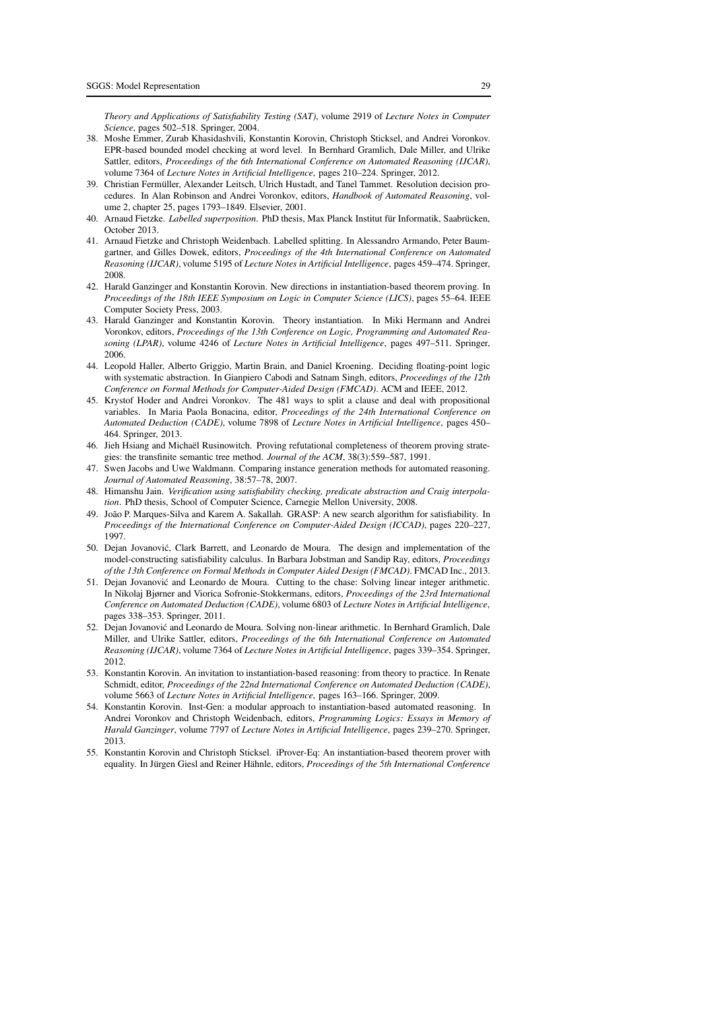*Theory and Applications of Satisfiability Testing (SAT)*, volume 2919 of *Lecture Notes in Computer Science*, pages 502–518. Springer, 2004.

- 38. Moshe Emmer, Zurab Khasidashvili, Konstantin Korovin, Christoph Sticksel, and Andrei Voronkov. EPR-based bounded model checking at word level. In Bernhard Gramlich, Dale Miller, and Ulrike Sattler, editors, *Proceedings of the 6th International Conference on Automated Reasoning (IJCAR)*, volume 7364 of *Lecture Notes in Artificial Intelligence*, pages 210–224. Springer, 2012.
- 39. Christian Fermüller, Alexander Leitsch, Ulrich Hustadt, and Tanel Tammet. Resolution decision procedures. In Alan Robinson and Andrei Voronkov, editors, *Handbook of Automated Reasoning*, volume 2, chapter 25, pages 1793–1849. Elsevier, 2001.
- 40. Arnaud Fietzke. *Labelled superposition*. PhD thesis, Max Planck Institut für Informatik, Saabrücken, October 2013.
- 41. Arnaud Fietzke and Christoph Weidenbach. Labelled splitting. In Alessandro Armando, Peter Baumgartner, and Gilles Dowek, editors, *Proceedings of the 4th International Conference on Automated Reasoning (IJCAR)*, volume 5195 of *Lecture Notes in Artificial Intelligence*, pages 459–474. Springer, 2008.
- 42. Harald Ganzinger and Konstantin Korovin. New directions in instantiation-based theorem proving. In *Proceedings of the 18th IEEE Symposium on Logic in Computer Science (LICS)*, pages 55–64. IEEE Computer Society Press, 2003.
- 43. Harald Ganzinger and Konstantin Korovin. Theory instantiation. In Miki Hermann and Andrei Voronkov, editors, *Proceedings of the 13th Conference on Logic, Programming and Automated Reasoning (LPAR)*, volume 4246 of *Lecture Notes in Artificial Intelligence*, pages 497–511. Springer, 2006.
- 44. Leopold Haller, Alberto Griggio, Martin Brain, and Daniel Kroening. Deciding floating-point logic with systematic abstraction. In Gianpiero Cabodi and Satnam Singh, editors, *Proceedings of the 12th Conference on Formal Methods for Computer-Aided Design (FMCAD)*. ACM and IEEE, 2012.
- 45. Krystof Hoder and Andrei Voronkov. The 481 ways to split a clause and deal with propositional variables. In Maria Paola Bonacina, editor, *Proceedings of the 24th International Conference on Automated Deduction (CADE)*, volume 7898 of *Lecture Notes in Artificial Intelligence*, pages 450– 464. Springer, 2013.
- 46. Jieh Hsiang and Michaël Rusinowitch. Proving refutational completeness of theorem proving strategies: the transfinite semantic tree method. *Journal of the ACM*, 38(3):559–587, 1991.
- 47. Swen Jacobs and Uwe Waldmann. Comparing instance generation methods for automated reasoning. *Journal of Automated Reasoning*, 38:57–78, 2007.
- 48. Himanshu Jain. *Verification using satisfiability checking, predicate abstraction and Craig interpolation*. PhD thesis, School of Computer Science, Carnegie Mellon University, 2008.
- 49. Jo˜ao P. Marques-Silva and Karem A. Sakallah. GRASP: A new search algorithm for satisfiability. In *Proceedings of the International Conference on Computer-Aided Design (ICCAD)*, pages 220–227, 1997.
- 50. Dejan Jovanović, Clark Barrett, and Leonardo de Moura. The design and implementation of the model-constructing satisfiability calculus. In Barbara Jobstman and Sandip Ray, editors, *Proceedings of the 13th Conference on Formal Methods in Computer Aided Design (FMCAD)*. FMCAD Inc., 2013.
- 51. Dejan Jovanović and Leonardo de Moura. Cutting to the chase: Solving linear integer arithmetic. In Nikolaj Bjørner and Viorica Sofronie-Stokkermans, editors, *Proceedings of the 23rd International Conference on Automated Deduction (CADE)*, volume 6803 of *Lecture Notes in Artificial Intelligence*, pages 338–353. Springer, 2011.
- 52. Dejan Jovanović and Leonardo de Moura. Solving non-linear arithmetic. In Bernhard Gramlich, Dale Miller, and Ulrike Sattler, editors, *Proceedings of the 6th International Conference on Automated Reasoning (IJCAR)*, volume 7364 of *Lecture Notes in Artificial Intelligence*, pages 339–354. Springer, 2012.
- 53. Konstantin Korovin. An invitation to instantiation-based reasoning: from theory to practice. In Renate Schmidt, editor, *Proceedings of the 22nd International Conference on Automated Deduction (CADE)*, volume 5663 of *Lecture Notes in Artificial Intelligence*, pages 163–166. Springer, 2009.
- 54. Konstantin Korovin. Inst-Gen: a modular approach to instantiation-based automated reasoning. In Andrei Voronkov and Christoph Weidenbach, editors, *Programming Logics: Essays in Memory of Harald Ganzinger*, volume 7797 of *Lecture Notes in Artificial Intelligence*, pages 239–270. Springer, 2013.
- 55. Konstantin Korovin and Christoph Sticksel. iProver-Eq: An instantiation-based theorem prover with equality. In Jürgen Giesl and Reiner Hähnle, editors, Proceedings of the 5th International Conference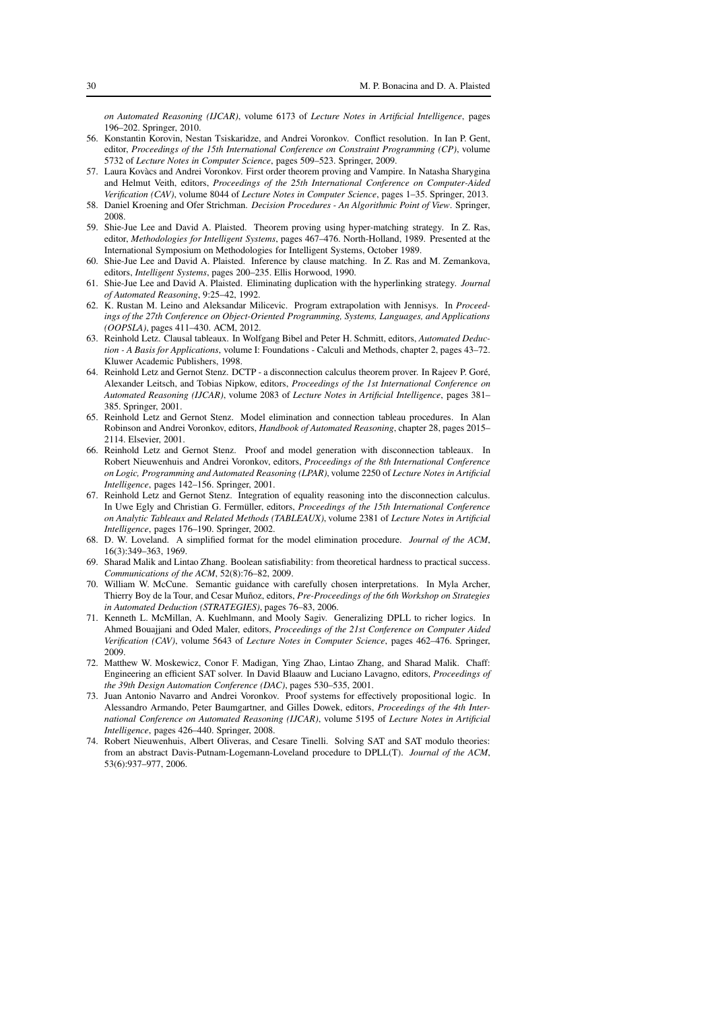*on Automated Reasoning (IJCAR)*, volume 6173 of *Lecture Notes in Artificial Intelligence*, pages 196–202. Springer, 2010.

- 56. Konstantin Korovin, Nestan Tsiskaridze, and Andrei Voronkov. Conflict resolution. In Ian P. Gent, editor, *Proceedings of the 15th International Conference on Constraint Programming (CP)*, volume 5732 of *Lecture Notes in Computer Science*, pages 509–523. Springer, 2009.
- 57. Laura Kovàcs and Andrei Voronkov. First order theorem proving and Vampire. In Natasha Sharygina and Helmut Veith, editors, *Proceedings of the 25th International Conference on Computer-Aided Verification (CAV)*, volume 8044 of *Lecture Notes in Computer Science*, pages 1–35. Springer, 2013.
- 58. Daniel Kroening and Ofer Strichman. *Decision Procedures An Algorithmic Point of View*. Springer, 2008.
- 59. Shie-Jue Lee and David A. Plaisted. Theorem proving using hyper-matching strategy. In Z. Ras, editor, *Methodologies for Intelligent Systems*, pages 467–476. North-Holland, 1989. Presented at the International Symposium on Methodologies for Intelligent Systems, October 1989.
- 60. Shie-Jue Lee and David A. Plaisted. Inference by clause matching. In Z. Ras and M. Zemankova, editors, *Intelligent Systems*, pages 200–235. Ellis Horwood, 1990.
- 61. Shie-Jue Lee and David A. Plaisted. Eliminating duplication with the hyperlinking strategy. *Journal of Automated Reasoning*, 9:25–42, 1992.
- 62. K. Rustan M. Leino and Aleksandar Milicevic. Program extrapolation with Jennisys. In *Proceedings of the 27th Conference on Object-Oriented Programming, Systems, Languages, and Applications (OOPSLA)*, pages 411–430. ACM, 2012.
- 63. Reinhold Letz. Clausal tableaux. In Wolfgang Bibel and Peter H. Schmitt, editors, *Automated Deduction - A Basis for Applications*, volume I: Foundations - Calculi and Methods, chapter 2, pages 43–72. Kluwer Academic Publishers, 1998.
- 64. Reinhold Letz and Gernot Stenz. DCTP a disconnection calculus theorem prover. In Rajeev P. Goré, Alexander Leitsch, and Tobias Nipkow, editors, *Proceedings of the 1st International Conference on Automated Reasoning (IJCAR)*, volume 2083 of *Lecture Notes in Artificial Intelligence*, pages 381– 385. Springer, 2001.
- 65. Reinhold Letz and Gernot Stenz. Model elimination and connection tableau procedures. In Alan Robinson and Andrei Voronkov, editors, *Handbook of Automated Reasoning*, chapter 28, pages 2015– 2114. Elsevier, 2001.
- 66. Reinhold Letz and Gernot Stenz. Proof and model generation with disconnection tableaux. In Robert Nieuwenhuis and Andrei Voronkov, editors, *Proceedings of the 8th International Conference on Logic, Programming and Automated Reasoning (LPAR)*, volume 2250 of *Lecture Notes in Artificial Intelligence*, pages 142–156. Springer, 2001.
- 67. Reinhold Letz and Gernot Stenz. Integration of equality reasoning into the disconnection calculus. In Uwe Egly and Christian G. Fermüller, editors, *Proceedings of the 15th International Conference on Analytic Tableaux and Related Methods (TABLEAUX)*, volume 2381 of *Lecture Notes in Artificial Intelligence*, pages 176–190. Springer, 2002.
- 68. D. W. Loveland. A simplified format for the model elimination procedure. *Journal of the ACM*, 16(3):349–363, 1969.
- 69. Sharad Malik and Lintao Zhang. Boolean satisfiability: from theoretical hardness to practical success. *Communications of the ACM*, 52(8):76–82, 2009.
- 70. William W. McCune. Semantic guidance with carefully chosen interpretations. In Myla Archer, Thierry Boy de la Tour, and Cesar Muñoz, editors, Pre-Proceedings of the 6th Workshop on Strategies *in Automated Deduction (STRATEGIES)*, pages 76–83, 2006.
- 71. Kenneth L. McMillan, A. Kuehlmann, and Mooly Sagiv. Generalizing DPLL to richer logics. In Ahmed Bouajjani and Oded Maler, editors, *Proceedings of the 21st Conference on Computer Aided Verification (CAV)*, volume 5643 of *Lecture Notes in Computer Science*, pages 462–476. Springer, 2009.
- 72. Matthew W. Moskewicz, Conor F. Madigan, Ying Zhao, Lintao Zhang, and Sharad Malik. Chaff: Engineering an efficient SAT solver. In David Blaauw and Luciano Lavagno, editors, *Proceedings of the 39th Design Automation Conference (DAC)*, pages 530–535, 2001.
- 73. Juan Antonio Navarro and Andrei Voronkov. Proof systems for effectively propositional logic. In Alessandro Armando, Peter Baumgartner, and Gilles Dowek, editors, *Proceedings of the 4th International Conference on Automated Reasoning (IJCAR)*, volume 5195 of *Lecture Notes in Artificial Intelligence*, pages 426–440. Springer, 2008.
- 74. Robert Nieuwenhuis, Albert Oliveras, and Cesare Tinelli. Solving SAT and SAT modulo theories: from an abstract Davis-Putnam-Logemann-Loveland procedure to DPLL(T). *Journal of the ACM*, 53(6):937–977, 2006.